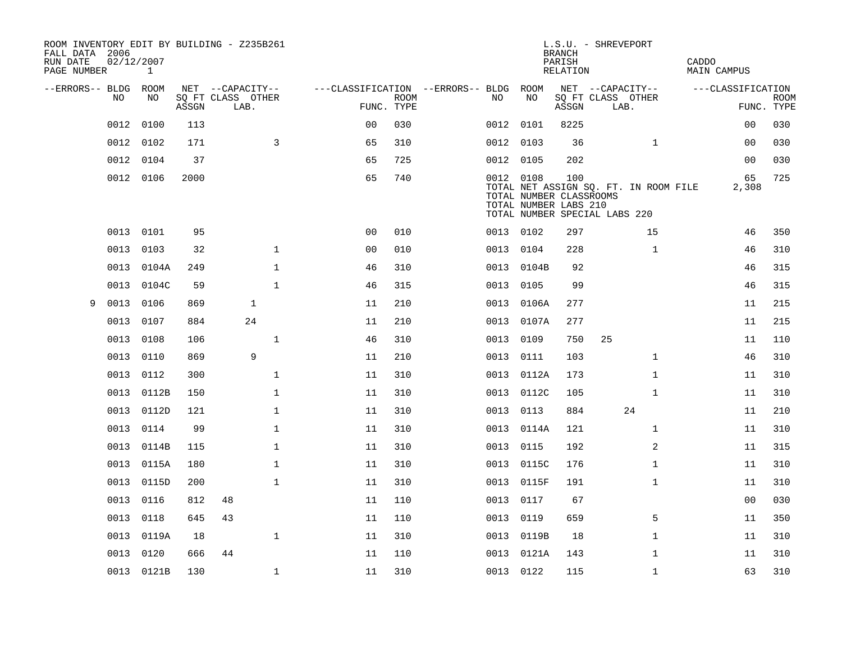| ROOM INVENTORY EDIT BY BUILDING - Z235B261<br>FALL DATA 2006<br>RUN DATE<br>PAGE NUMBER | 02/12/2007 | 1     |       |                                       |              |                                   |             |           |            | <b>BRANCH</b><br>PARISH<br>RELATION                     | L.S.U. - SHREVEPORT                                                    |              | CADDO | MAIN CAMPUS       |             |
|-----------------------------------------------------------------------------------------|------------|-------|-------|---------------------------------------|--------------|-----------------------------------|-------------|-----------|------------|---------------------------------------------------------|------------------------------------------------------------------------|--------------|-------|-------------------|-------------|
|                                                                                         |            |       |       |                                       |              |                                   |             |           |            |                                                         |                                                                        |              |       |                   |             |
| --ERRORS-- BLDG ROOM                                                                    | NO         | NO    |       | NET --CAPACITY--<br>SQ FT CLASS OTHER |              | ---CLASSIFICATION --ERRORS-- BLDG | <b>ROOM</b> | NO.       | ROOM<br>NO |                                                         | NET --CAPACITY--<br>SQ FT CLASS OTHER                                  |              |       | ---CLASSIFICATION | <b>ROOM</b> |
|                                                                                         |            |       | ASSGN | LAB.                                  |              | FUNC. TYPE                        |             |           |            | ASSGN                                                   | LAB.                                                                   |              |       |                   | FUNC. TYPE  |
|                                                                                         | 0012       | 0100  | 113   |                                       |              | 0 <sub>0</sub>                    | 030         | 0012 0101 |            | 8225                                                    |                                                                        |              |       | 0 <sub>0</sub>    | 030         |
|                                                                                         | 0012 0102  |       | 171   |                                       | 3            | 65                                | 310         | 0012 0103 |            | 36                                                      |                                                                        | $\mathbf{1}$ |       | 00                | 030         |
|                                                                                         | 0012       | 0104  | 37    |                                       |              | 65                                | 725         | 0012 0105 |            | 202                                                     |                                                                        |              |       | 0 <sub>0</sub>    | 030         |
|                                                                                         | 0012 0106  |       | 2000  |                                       |              | 65                                | 740         | 0012 0108 |            | 100<br>TOTAL NUMBER CLASSROOMS<br>TOTAL NUMBER LABS 210 | TOTAL NET ASSIGN SQ. FT. IN ROOM FILE<br>TOTAL NUMBER SPECIAL LABS 220 |              |       | 65<br>2,308       | 725         |
|                                                                                         | 0013       | 0101  | 95    |                                       |              | 0 <sub>0</sub>                    | 010         | 0013 0102 |            | 297                                                     |                                                                        | 15           |       | 46                | 350         |
|                                                                                         | 0013       | 0103  | 32    |                                       | $\mathbf{1}$ | 0 <sub>0</sub>                    | 010         | 0013 0104 |            | 228                                                     |                                                                        | $\mathbf{1}$ |       | 46                | 310         |
|                                                                                         | 0013       | 0104A | 249   |                                       | $\mathbf{1}$ | 46                                | 310         |           | 0013 0104B | 92                                                      |                                                                        |              |       | 46                | 315         |
|                                                                                         | 0013       | 0104C | 59    |                                       | $\mathbf{1}$ | 46                                | 315         | 0013 0105 |            | 99                                                      |                                                                        |              |       | 46                | 315         |
| 9                                                                                       | 0013       | 0106  | 869   |                                       | $\mathbf{1}$ | 11                                | 210         | 0013      | 0106A      | 277                                                     |                                                                        |              |       | 11                | 215         |
|                                                                                         | 0013       | 0107  | 884   |                                       | 24           | 11                                | 210         |           | 0013 0107A | 277                                                     |                                                                        |              |       | 11                | 215         |
|                                                                                         | 0013       | 0108  | 106   |                                       | $\mathbf{1}$ | 46                                | 310         | 0013      | 0109       | 750                                                     | 25                                                                     |              |       | 11                | 110         |
|                                                                                         | 0013       | 0110  | 869   |                                       | 9            | 11                                | 210         | 0013      | 0111       | 103                                                     |                                                                        | $\mathbf{1}$ |       | 46                | 310         |
|                                                                                         | 0013       | 0112  | 300   |                                       | $\mathbf 1$  | 11                                | 310         | 0013      | 0112A      | 173                                                     |                                                                        | $\mathbf{1}$ |       | 11                | 310         |
|                                                                                         | 0013       | 0112B | 150   |                                       | $\mathbf 1$  | 11                                | 310         |           | 0013 0112C | 105                                                     |                                                                        | $\mathbf{1}$ |       | 11                | 310         |
|                                                                                         | 0013       | 0112D | 121   |                                       | $\mathbf 1$  | 11                                | 310         | 0013      | 0113       | 884                                                     | 24                                                                     |              |       | 11                | 210         |
|                                                                                         | 0013       | 0114  | 99    |                                       | $\mathbf 1$  | 11                                | 310         | 0013      | 0114A      | 121                                                     |                                                                        | $\mathbf{1}$ |       | 11                | 310         |
|                                                                                         | 0013       | 0114B | 115   |                                       | $\mathbf 1$  | 11                                | 310         | 0013      | 0115       | 192                                                     |                                                                        | 2            |       | 11                | 315         |
|                                                                                         | 0013       | 0115A | 180   |                                       | $\mathbf{1}$ | 11                                | 310         |           | 0013 0115C | 176                                                     |                                                                        | $\mathbf{1}$ |       | 11                | 310         |
|                                                                                         | 0013       | 0115D | 200   |                                       | $\mathbf{1}$ | 11                                | 310         |           | 0013 0115F | 191                                                     |                                                                        | $\mathbf{1}$ |       | 11                | 310         |
|                                                                                         | 0013       | 0116  | 812   | 48                                    |              | 11                                | 110         | 0013      | 0117       | 67                                                      |                                                                        |              |       | 00                | 030         |
|                                                                                         | 0013       | 0118  | 645   | 43                                    |              | 11                                | 110         | 0013      | 0119       | 659                                                     |                                                                        | 5            |       | 11                | 350         |
|                                                                                         | 0013       | 0119A | 18    |                                       | $\mathbf 1$  | 11                                | 310         |           | 0013 0119B | 18                                                      |                                                                        | $\mathbf{1}$ |       | 11                | 310         |
|                                                                                         | 0013       | 0120  | 666   | 44                                    |              | 11                                | 110         |           | 0013 0121A | 143                                                     |                                                                        | $\mathbf{1}$ |       | 11                | 310         |
|                                                                                         | 0013 0121B |       | 130   |                                       | $\mathbf{1}$ | 11                                | 310         | 0013 0122 |            | 115                                                     |                                                                        | $\mathbf{1}$ |       | 63                | 310         |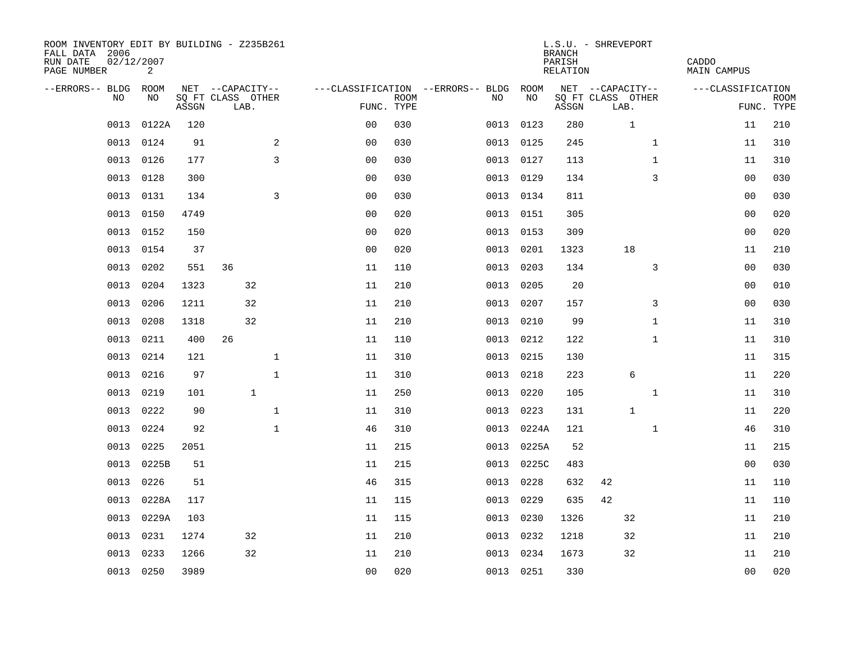| ROOM INVENTORY EDIT BY BUILDING - Z235B261<br>FALL DATA 2006<br>RUN DATE<br>PAGE NUMBER | 02/12/2007<br>2 |       |                           |              |                |             |                                        |      |            | <b>BRANCH</b><br>PARISH<br>RELATION | L.S.U. - SHREVEPORT       |              | CADDO<br>MAIN CAMPUS |             |
|-----------------------------------------------------------------------------------------|-----------------|-------|---------------------------|--------------|----------------|-------------|----------------------------------------|------|------------|-------------------------------------|---------------------------|--------------|----------------------|-------------|
| --ERRORS-- BLDG ROOM                                                                    |                 |       | NET --CAPACITY--          |              |                |             | ---CLASSIFICATION --ERRORS-- BLDG ROOM |      |            |                                     | NET --CAPACITY--          |              | ---CLASSIFICATION    |             |
| NO.                                                                                     | NO.             | ASSGN | SQ FT CLASS OTHER<br>LAB. |              | FUNC. TYPE     | <b>ROOM</b> | NO.                                    |      | NO         | ASSGN                               | SQ FT CLASS OTHER<br>LAB. |              | FUNC. TYPE           | <b>ROOM</b> |
| 0013                                                                                    | 0122A           | 120   |                           |              | 0 <sub>0</sub> | 030         |                                        | 0013 | 0123       | 280                                 | $\mathbf{1}$              |              | 11                   | 210         |
| 0013                                                                                    | 0124            | 91    |                           | 2            | 0 <sub>0</sub> | 030         |                                        |      | 0013 0125  | 245                                 |                           | $\mathbf{1}$ | 11                   | 310         |
| 0013                                                                                    | 0126            | 177   |                           | 3            | 0 <sub>0</sub> | 030         |                                        |      | 0013 0127  | 113                                 |                           | $\mathbf{1}$ | 11                   | 310         |
| 0013                                                                                    | 0128            | 300   |                           |              | 0 <sub>0</sub> | 030         |                                        |      | 0013 0129  | 134                                 |                           | 3            | 00                   | 030         |
| 0013                                                                                    | 0131            | 134   |                           | 3            | 00             | 030         |                                        | 0013 | 0134       | 811                                 |                           |              | 00                   | 030         |
| 0013                                                                                    | 0150            | 4749  |                           |              | 0 <sub>0</sub> | 020         |                                        |      | 0013 0151  | 305                                 |                           |              | 0 <sub>0</sub>       | 020         |
| 0013                                                                                    | 0152            | 150   |                           |              | 0 <sub>0</sub> | 020         |                                        | 0013 | 0153       | 309                                 |                           |              | 0 <sub>0</sub>       | 020         |
| 0013                                                                                    | 0154            | 37    |                           |              | 0 <sub>0</sub> | 020         |                                        | 0013 | 0201       | 1323                                | 18                        |              | 11                   | 210         |
| 0013                                                                                    | 0202            | 551   | 36                        |              | 11             | 110         |                                        | 0013 | 0203       | 134                                 |                           | 3            | 0 <sub>0</sub>       | 030         |
| 0013                                                                                    | 0204            | 1323  | 32                        |              | 11             | 210         |                                        |      | 0013 0205  | 20                                  |                           |              | 0 <sub>0</sub>       | 010         |
| 0013                                                                                    | 0206            | 1211  | 32                        |              | 11             | 210         |                                        | 0013 | 0207       | 157                                 |                           | 3            | 0 <sub>0</sub>       | 030         |
| 0013                                                                                    | 0208            | 1318  | 32                        |              | 11             | 210         |                                        |      | 0013 0210  | 99                                  |                           | $\mathbf{1}$ | 11                   | 310         |
| 0013                                                                                    | 0211            | 400   | 26                        |              | 11             | 110         |                                        | 0013 | 0212       | 122                                 |                           | $\mathbf{1}$ | 11                   | 310         |
| 0013                                                                                    | 0214            | 121   |                           | $\mathbf 1$  | 11             | 310         |                                        |      | 0013 0215  | 130                                 |                           |              | 11                   | 315         |
| 0013                                                                                    | 0216            | 97    |                           | $\mathbf{1}$ | 11             | 310         |                                        | 0013 | 0218       | 223                                 | 6                         |              | 11                   | 220         |
| 0013                                                                                    | 0219            | 101   |                           | $\mathbf{1}$ | 11             | 250         |                                        | 0013 | 0220       | 105                                 |                           | $\mathbf{1}$ | 11                   | 310         |
| 0013                                                                                    | 0222            | 90    |                           | $\mathbf 1$  | 11             | 310         |                                        | 0013 | 0223       | 131                                 | $\mathbf{1}$              |              | 11                   | 220         |
| 0013                                                                                    | 0224            | 92    |                           | $\mathbf 1$  | 46             | 310         |                                        | 0013 | 0224A      | 121                                 |                           | $\mathbf{1}$ | 46                   | 310         |
| 0013                                                                                    | 0225            | 2051  |                           |              | 11             | 215         |                                        |      | 0013 0225A | 52                                  |                           |              | 11                   | 215         |
| 0013                                                                                    | 0225B           | 51    |                           |              | 11             | 215         |                                        |      | 0013 0225C | 483                                 |                           |              | 0 <sub>0</sub>       | 030         |
| 0013                                                                                    | 0226            | 51    |                           |              | 46             | 315         |                                        | 0013 | 0228       | 632                                 | 42                        |              | 11                   | 110         |
| 0013                                                                                    | 0228A           | 117   |                           |              | 11             | 115         |                                        | 0013 | 0229       | 635                                 | 42                        |              | 11                   | 110         |
| 0013                                                                                    | 0229A           | 103   |                           |              | 11             | 115         |                                        | 0013 | 0230       | 1326                                | 32                        |              | 11                   | 210         |
| 0013                                                                                    | 0231            | 1274  | 32                        |              | 11             | 210         |                                        | 0013 | 0232       | 1218                                | 32                        |              | 11                   | 210         |
| 0013                                                                                    | 0233            | 1266  | 32                        |              | 11             | 210         |                                        | 0013 | 0234       | 1673                                | 32                        |              | 11                   | 210         |
|                                                                                         | 0013 0250       | 3989  |                           |              | 0 <sub>0</sub> | 020         |                                        |      | 0013 0251  | 330                                 |                           |              | 0 <sub>0</sub>       | 020         |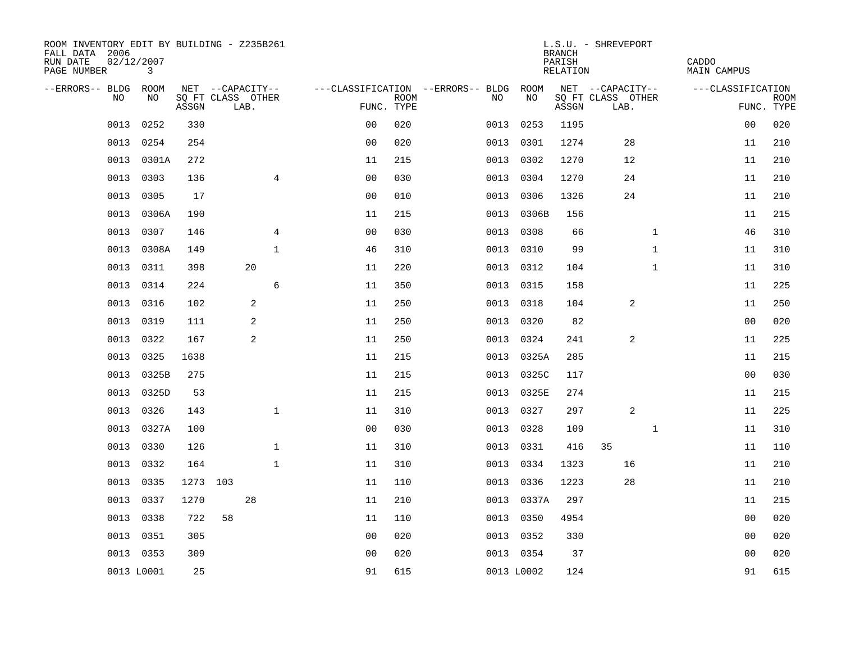| ROOM INVENTORY EDIT BY BUILDING - Z235B261<br>FALL DATA 2006<br>RUN DATE<br>PAGE NUMBER | 02/12/2007<br>3 |          |                           |                |                |             |                                   |            | <b>BRANCH</b><br>PARISH<br>RELATION | L.S.U. - SHREVEPORT       |              | CADDO<br><b>MAIN CAMPUS</b> |                |                           |
|-----------------------------------------------------------------------------------------|-----------------|----------|---------------------------|----------------|----------------|-------------|-----------------------------------|------------|-------------------------------------|---------------------------|--------------|-----------------------------|----------------|---------------------------|
| --ERRORS-- BLDG                                                                         | ROOM            |          | NET --CAPACITY--          |                |                |             | ---CLASSIFICATION --ERRORS-- BLDG | ROOM       |                                     | NET --CAPACITY--          |              | ---CLASSIFICATION           |                |                           |
| NO                                                                                      | NO              | ASSGN    | SQ FT CLASS OTHER<br>LAB. |                | FUNC. TYPE     | <b>ROOM</b> | NO                                | NO         | ASSGN                               | SQ FT CLASS OTHER<br>LAB. |              |                             |                | <b>ROOM</b><br>FUNC. TYPE |
| 0013                                                                                    | 0252            | 330      |                           |                | 0 <sub>0</sub> | 020         | 0013                              | 0253       | 1195                                |                           |              |                             | 00             | 020                       |
| 0013                                                                                    | 0254            | 254      |                           |                | 0 <sub>0</sub> | 020         | 0013                              | 0301       | 1274                                | 28                        |              |                             | 11             | 210                       |
| 0013                                                                                    | 0301A           | 272      |                           |                | 11             | 215         | 0013                              | 0302       | 1270                                | 12                        |              |                             | 11             | 210                       |
| 0013                                                                                    | 0303            | 136      |                           | $\overline{4}$ | 0 <sub>0</sub> | 030         | 0013                              | 0304       | 1270                                | 24                        |              |                             | 11             | 210                       |
| 0013                                                                                    | 0305            | 17       |                           |                | 0 <sub>0</sub> | 010         | 0013                              | 0306       | 1326                                | 24                        |              |                             | 11             | 210                       |
| 0013                                                                                    | 0306A           | 190      |                           |                | 11             | 215         |                                   | 0013 0306B | 156                                 |                           |              |                             | 11             | 215                       |
| 0013                                                                                    | 0307            | 146      |                           | 4              | 0 <sub>0</sub> | 030         | 0013                              | 0308       | 66                                  |                           | $\mathbf{1}$ |                             | 46             | 310                       |
| 0013                                                                                    | 0308A           | 149      |                           | $\mathbf{1}$   | 46             | 310         |                                   | 0013 0310  | 99                                  |                           | $\mathbf{1}$ |                             | 11             | 310                       |
| 0013                                                                                    | 0311            | 398      | 20                        |                | 11             | 220         |                                   | 0013 0312  | 104                                 |                           | $\mathbf{1}$ |                             | 11             | 310                       |
| 0013                                                                                    | 0314            | 224      |                           | 6              | 11             | 350         |                                   | 0013 0315  | 158                                 |                           |              |                             | 11             | 225                       |
| 0013                                                                                    | 0316            | 102      | 2                         |                | 11             | 250         |                                   | 0013 0318  | 104                                 | 2                         |              |                             | 11             | 250                       |
| 0013                                                                                    | 0319            | 111      | 2                         |                | 11             | 250         |                                   | 0013 0320  | 82                                  |                           |              |                             | 0 <sub>0</sub> | 020                       |
| 0013                                                                                    | 0322            | 167      | 2                         |                | 11             | 250         | 0013                              | 0324       | 241                                 | 2                         |              |                             | 11             | 225                       |
| 0013                                                                                    | 0325            | 1638     |                           |                | 11             | 215         |                                   | 0013 0325A | 285                                 |                           |              |                             | 11             | 215                       |
| 0013                                                                                    | 0325B           | 275      |                           |                | 11             | 215         | 0013                              | 0325C      | 117                                 |                           |              |                             | 0 <sub>0</sub> | 030                       |
| 0013                                                                                    | 0325D           | 53       |                           |                | 11             | 215         |                                   | 0013 0325E | 274                                 |                           |              |                             | 11             | 215                       |
| 0013                                                                                    | 0326            | 143      |                           | $\mathbf{1}$   | 11             | 310         | 0013                              | 0327       | 297                                 | 2                         |              |                             | 11             | 225                       |
| 0013                                                                                    | 0327A           | 100      |                           |                | 0 <sub>0</sub> | 030         |                                   | 0013 0328  | 109                                 |                           | $\mathbf{1}$ |                             | 11             | 310                       |
| 0013                                                                                    | 0330            | 126      |                           | $\mathbf{1}$   | 11             | 310         |                                   | 0013 0331  | 416                                 | 35                        |              |                             | 11             | 110                       |
| 0013                                                                                    | 0332            | 164      |                           | $\mathbf{1}$   | 11             | 310         | 0013                              | 0334       | 1323                                | 16                        |              | 11                          |                | 210                       |
| 0013                                                                                    | 0335            | 1273 103 |                           |                | 11             | 110         |                                   | 0013 0336  | 1223                                | 28                        |              |                             | 11             | 210                       |
| 0013                                                                                    | 0337            | 1270     | 28                        |                | 11             | 210         | 0013                              | 0337A      | 297                                 |                           |              |                             | 11             | 215                       |
| 0013                                                                                    | 0338            | 722      | 58                        |                | 11             | 110         |                                   | 0013 0350  | 4954                                |                           |              |                             | 0 <sub>0</sub> | 020                       |
| 0013                                                                                    | 0351            | 305      |                           |                | 0 <sub>0</sub> | 020         | 0013                              | 0352       | 330                                 |                           |              |                             | 00             | 020                       |
|                                                                                         | 0013 0353       | 309      |                           |                | 0 <sub>0</sub> | 020         |                                   | 0013 0354  | 37                                  |                           |              |                             | 00             | 020                       |
|                                                                                         | 0013 L0001      | 25       |                           |                | 91             | 615         |                                   | 0013 L0002 | 124                                 |                           |              |                             | 91             | 615                       |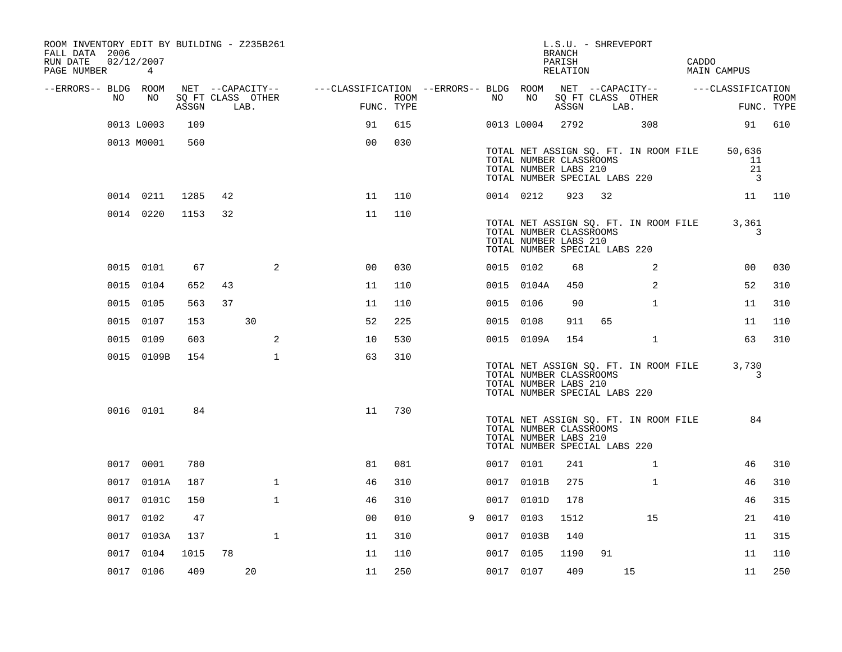| ROOM INVENTORY EDIT BY BUILDING - Z235B261<br>FALL DATA 2006<br>RUN DATE<br>PAGE NUMBER | 02/12/2007<br>$\overline{4}$ |       |    |                           |                                                         |                    |   |           |                                                                                   | BRANCH<br>PARISH<br>RELATION | L.S.U. - SHREVEPORT |                                       | CADDO<br>MAIN CAMPUS |                                                |                           |
|-----------------------------------------------------------------------------------------|------------------------------|-------|----|---------------------------|---------------------------------------------------------|--------------------|---|-----------|-----------------------------------------------------------------------------------|------------------------------|---------------------|---------------------------------------|----------------------|------------------------------------------------|---------------------------|
| --ERRORS-- BLDG ROOM                                                                    |                              |       |    | NET --CAPACITY--          | ---CLASSIFICATION --ERRORS-- BLDG ROOM NET --CAPACITY-- |                    |   |           |                                                                                   |                              |                     |                                       |                      | ---CLASSIFICATION                              |                           |
| NO                                                                                      | NO                           | ASSGN |    | SQ FT CLASS OTHER<br>LAB. |                                                         | ROOM<br>FUNC. TYPE |   | NO        | NO                                                                                | ASSGN                        | LAB.                | SQ FT CLASS OTHER                     |                      |                                                | <b>ROOM</b><br>FUNC. TYPE |
|                                                                                         | 0013 L0003                   | 109   |    |                           | 91                                                      | 615                |   |           | 0013 L0004                                                                        | 2792                         |                     | 308                                   |                      |                                                | 91 610                    |
|                                                                                         | 0013 M0001                   | 560   |    |                           | 0 <sub>0</sub>                                          | 030                |   |           | TOTAL NUMBER CLASSROOMS<br>TOTAL NUMBER LABS 210<br>TOTAL NUMBER SPECIAL LABS 220 |                              |                     | TOTAL NET ASSIGN SQ. FT. IN ROOM FILE |                      | 50,636<br>11<br>21<br>$\overline{\phantom{a}}$ |                           |
|                                                                                         | 0014 0211                    | 1285  | 42 |                           | 11                                                      | 110                |   |           | 0014 0212                                                                         | 923                          | 32                  |                                       |                      |                                                | 11 110                    |
|                                                                                         | 0014 0220                    | 1153  | 32 |                           | 11                                                      | 110                |   |           | TOTAL NUMBER CLASSROOMS<br>TOTAL NUMBER LABS 210<br>TOTAL NUMBER SPECIAL LABS 220 |                              |                     | TOTAL NET ASSIGN SQ. FT. IN ROOM FILE |                      | 3,361<br>3                                     |                           |
|                                                                                         | 0015 0101                    | 67    |    | 2                         | 0 <sup>0</sup>                                          | 030                |   | 0015 0102 |                                                                                   | 68                           |                     | 2                                     |                      | 0 <sub>0</sub>                                 | 030                       |
|                                                                                         | 0015 0104                    | 652   | 43 |                           | 11                                                      | 110                |   |           | 0015 0104A                                                                        | 450                          |                     | 2                                     |                      | 52                                             | 310                       |
|                                                                                         | 0015 0105                    | 563   | 37 |                           | 11                                                      | 110                |   | 0015 0106 |                                                                                   | 90                           |                     | $\mathbf{1}$                          |                      | 11                                             | 310                       |
|                                                                                         | 0015 0107                    | 153   |    | 30                        | 52                                                      | 225                |   | 0015 0108 |                                                                                   | 911                          | 65                  |                                       |                      | 11                                             | 110                       |
|                                                                                         | 0015 0109                    | 603   |    | 2                         | 10                                                      | 530                |   |           | 0015 0109A                                                                        | 154                          |                     | $\mathbf{1}$                          |                      | 63                                             | 310                       |
|                                                                                         | 0015 0109B                   | 154   |    | $\mathbf{1}$              | 63                                                      | 310                |   |           | TOTAL NUMBER CLASSROOMS<br>TOTAL NUMBER LABS 210<br>TOTAL NUMBER SPECIAL LABS 220 |                              |                     | TOTAL NET ASSIGN SQ. FT. IN ROOM FILE |                      | 3,730<br>3                                     |                           |
|                                                                                         | 0016 0101                    | 84    |    |                           | 11                                                      | 730                |   |           | TOTAL NUMBER CLASSROOMS<br>TOTAL NUMBER LABS 210<br>TOTAL NUMBER SPECIAL LABS 220 |                              |                     | TOTAL NET ASSIGN SQ. FT. IN ROOM FILE |                      | 84                                             |                           |
|                                                                                         | 0017 0001                    | 780   |    |                           | 81                                                      | 081                |   | 0017 0101 |                                                                                   | 241                          |                     | $\mathbf{1}$                          |                      | 46                                             | 310                       |
|                                                                                         | 0017 0101A                   | 187   |    | $\mathbf 1$               | 46                                                      | 310                |   |           | 0017 0101B                                                                        | 275                          |                     | $\mathbf{1}$                          |                      | 46                                             | 310                       |
|                                                                                         | 0017 0101C                   | 150   |    | $\mathbf{1}$              | 46                                                      | 310                |   |           | 0017 0101D                                                                        | 178                          |                     |                                       |                      | 46                                             | 315                       |
|                                                                                         | 0017 0102                    | 47    |    |                           | 0 <sub>0</sub>                                          | 010                | 9 | 0017 0103 |                                                                                   | 1512                         |                     | 15                                    |                      | 21                                             | 410                       |
|                                                                                         | 0017 0103A                   | 137   |    | $\mathbf 1$               | 11                                                      | 310                |   |           | 0017 0103B                                                                        | 140                          |                     |                                       |                      | 11                                             | 315                       |
|                                                                                         | 0017 0104                    | 1015  | 78 |                           | 11                                                      | 110                |   | 0017 0105 |                                                                                   | 1190                         | 91                  |                                       |                      | 11                                             | 110                       |
|                                                                                         | 0017 0106                    | 409   |    | 20                        | 11                                                      | 250                |   | 0017 0107 |                                                                                   | 409                          |                     | 15                                    |                      | 11                                             | 250                       |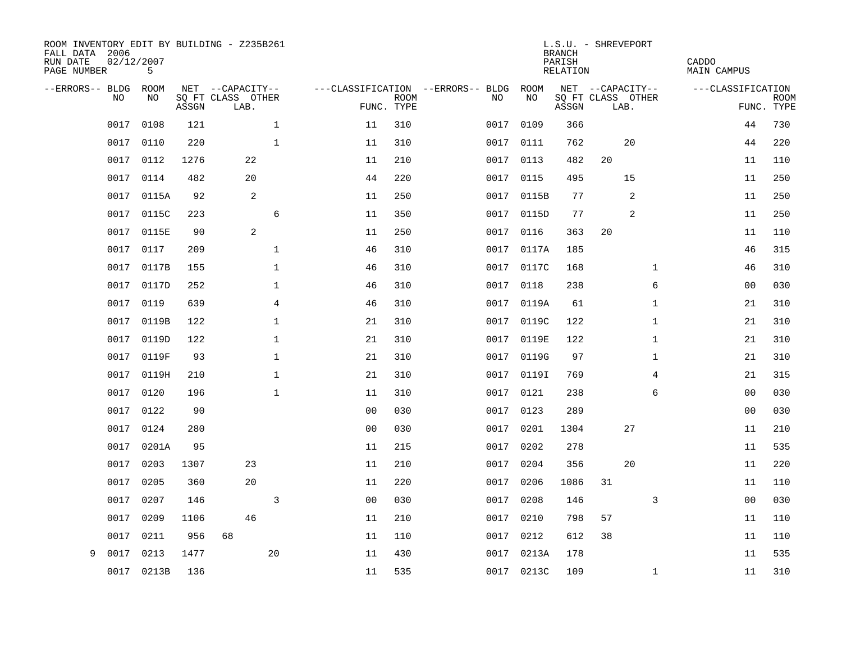| ROOM INVENTORY EDIT BY BUILDING - Z235B261<br>FALL DATA 2006<br>RUN DATE<br>PAGE NUMBER | 02/12/2007<br>5 |       |                           |                      |                           |                                   |            | <b>BRANCH</b><br>PARISH<br><b>RELATION</b> | L.S.U. - SHREVEPORT       |              | CADDO<br><b>MAIN CAMPUS</b> |                           |
|-----------------------------------------------------------------------------------------|-----------------|-------|---------------------------|----------------------|---------------------------|-----------------------------------|------------|--------------------------------------------|---------------------------|--------------|-----------------------------|---------------------------|
| --ERRORS-- BLDG                                                                         | <b>ROOM</b>     |       | NET --CAPACITY--          |                      |                           | ---CLASSIFICATION --ERRORS-- BLDG | ROOM       |                                            | NET --CAPACITY--          |              | ---CLASSIFICATION           |                           |
| <b>NO</b>                                                                               | NO.             | ASSGN | SQ FT CLASS OTHER<br>LAB. |                      | <b>ROOM</b><br>FUNC. TYPE | NO.                               | NO         | ASSGN                                      | SQ FT CLASS OTHER<br>LAB. |              |                             | <b>ROOM</b><br>FUNC. TYPE |
| 0017                                                                                    | 0108            | 121   |                           | $\mathbf{1}$<br>11   | 310                       | 0017                              | 0109       | 366                                        |                           |              | 44                          | 730                       |
| 0017                                                                                    | 0110            | 220   |                           | $\mathbf 1$<br>11    | 310                       | 0017                              | 0111       | 762                                        | 20                        |              | 44                          | 220                       |
| 0017                                                                                    | 0112            | 1276  | 22                        | 11                   | 210                       | 0017                              | 0113       | 482                                        | 20                        |              | 11                          | 110                       |
| 0017                                                                                    | 0114            | 482   | 20                        | 44                   | 220                       |                                   | 0017 0115  | 495                                        | 15                        |              | 11                          | 250                       |
| 0017                                                                                    | 0115A           | 92    | 2                         | 11                   | 250                       | 0017                              | 0115B      | 77                                         | 2                         |              | 11                          | 250                       |
| 0017                                                                                    | 0115C           | 223   |                           | 6<br>11              | 350                       |                                   | 0017 0115D | 77                                         | 2                         |              | 11                          | 250                       |
| 0017                                                                                    | 0115E           | 90    | 2                         | 11                   | 250                       | 0017                              | 0116       | 363                                        | 20                        |              | 11                          | 110                       |
| 0017                                                                                    | 0117            | 209   |                           | $\mathbf 1$<br>46    | 310                       |                                   | 0017 0117A | 185                                        |                           |              | 46                          | 315                       |
| 0017                                                                                    | 0117B           | 155   |                           | $\mathbf 1$<br>46    | 310                       | 0017                              | 0117C      | 168                                        |                           | $\mathbf{1}$ | 46                          | 310                       |
| 0017                                                                                    | 0117D           | 252   |                           | $\mathbf{1}$<br>46   | 310                       |                                   | 0017 0118  | 238                                        |                           | 6            | 0 <sub>0</sub>              | 030                       |
| 0017                                                                                    | 0119            | 639   |                           | $\overline{4}$<br>46 | 310                       | 0017                              | 0119A      | 61                                         |                           | $\mathbf{1}$ | 21                          | 310                       |
| 0017                                                                                    | 0119B           | 122   |                           | $\mathbf{1}$<br>21   | 310                       | 0017                              | 0119C      | 122                                        |                           | $\mathbf{1}$ | 21                          | 310                       |
| 0017                                                                                    | 0119D           | 122   |                           | $\mathbf{1}$<br>21   | 310                       | 0017                              | 0119E      | 122                                        |                           | $\mathbf{1}$ | 21                          | 310                       |
| 0017                                                                                    | 0119F           | 93    |                           | 1<br>21              | 310                       |                                   | 0017 0119G | 97                                         |                           | $\mathbf{1}$ | 21                          | 310                       |
| 0017                                                                                    | 0119H           | 210   |                           | $\mathbf 1$<br>21    | 310                       | 0017                              | 0119I      | 769                                        |                           | 4            | 21                          | 315                       |
| 0017                                                                                    | 0120            | 196   |                           | $\mathbf 1$<br>11    | 310                       | 0017                              | 0121       | 238                                        |                           | 6            | 00                          | 030                       |
| 0017                                                                                    | 0122            | 90    |                           | 0 <sub>0</sub>       | 030                       | 0017                              | 0123       | 289                                        |                           |              | 0 <sub>0</sub>              | 030                       |
| 0017                                                                                    | 0124            | 280   |                           | 0 <sub>0</sub>       | 030                       |                                   | 0017 0201  | 1304                                       | 27                        |              | 11                          | 210                       |
| 0017                                                                                    | 0201A           | 95    |                           | 11                   | 215                       | 0017                              | 0202       | 278                                        |                           |              | 11                          | 535                       |
| 0017                                                                                    | 0203            | 1307  | 23                        | 11                   | 210                       | 0017                              | 0204       | 356                                        | 20                        |              | 11                          | 220                       |
| 0017                                                                                    | 0205            | 360   | 20                        | 11                   | 220                       | 0017                              | 0206       | 1086                                       | 31                        |              | 11                          | 110                       |
| 0017                                                                                    | 0207            | 146   |                           | 3<br>0 <sub>0</sub>  | 030                       | 0017                              | 0208       | 146                                        |                           | 3            | 00                          | 030                       |
| 0017                                                                                    | 0209            | 1106  | 46                        | 11                   | 210                       | 0017                              | 0210       | 798                                        | 57                        |              | 11                          | 110                       |
| 0017                                                                                    | 0211            | 956   | 68                        | 11                   | 110                       | 0017                              | 0212       | 612                                        | 38                        |              | 11                          | 110                       |
| 9<br>0017                                                                               | 0213            | 1477  | 20                        | 11                   | 430                       | 0017                              | 0213A      | 178                                        |                           |              | 11                          | 535                       |
|                                                                                         | 0017 0213B      | 136   |                           | 11                   | 535                       |                                   | 0017 0213C | 109                                        |                           | $\mathbf{1}$ | 11                          | 310                       |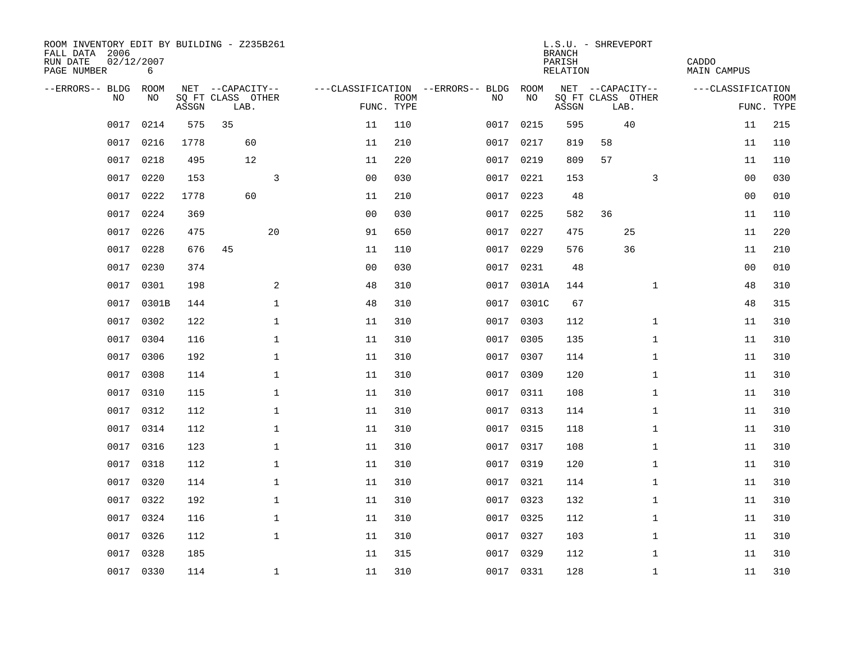| ROOM INVENTORY EDIT BY BUILDING - Z235B261<br>FALL DATA 2006<br>RUN DATE<br>PAGE NUMBER | 02/12/2007<br>6 |       |                           |                |                           |                                   |            | <b>BRANCH</b><br>PARISH<br>RELATION | L.S.U. - SHREVEPORT       | CADDO<br><b>MAIN CAMPUS</b> |                           |
|-----------------------------------------------------------------------------------------|-----------------|-------|---------------------------|----------------|---------------------------|-----------------------------------|------------|-------------------------------------|---------------------------|-----------------------------|---------------------------|
| --ERRORS-- BLDG ROOM                                                                    |                 |       | NET --CAPACITY--          |                |                           | ---CLASSIFICATION --ERRORS-- BLDG | ROOM       |                                     | NET --CAPACITY--          | ---CLASSIFICATION           |                           |
| NO                                                                                      | NO              | ASSGN | SQ FT CLASS OTHER<br>LAB. |                | <b>ROOM</b><br>FUNC. TYPE | NO                                | NO         | ASSGN                               | SQ FT CLASS OTHER<br>LAB. |                             | <b>ROOM</b><br>FUNC. TYPE |
| 0017                                                                                    | 0214            | 575   | 35                        | 11             | 110                       | 0017                              | 0215       | 595                                 | 40                        | 11                          | 215                       |
| 0017                                                                                    | 0216            | 1778  | 60                        | 11             | 210                       | 0017                              | 0217       | 819                                 | 58                        | 11                          | 110                       |
| 0017                                                                                    | 0218            | 495   | 12                        | 11             | 220                       | 0017                              | 0219       | 809                                 | 57                        | 11                          | 110                       |
| 0017                                                                                    | 0220            | 153   | 3                         | 0 <sub>0</sub> | 030                       |                                   | 0017 0221  | 153                                 | 3                         | 0 <sub>0</sub>              | 030                       |
| 0017                                                                                    | 0222            | 1778  | 60                        | 11             | 210                       | 0017                              | 0223       | 48                                  |                           | 00                          | 010                       |
| 0017                                                                                    | 0224            | 369   |                           | 0 <sub>0</sub> | 030                       |                                   | 0017 0225  | 582                                 | 36                        | 11                          | 110                       |
| 0017                                                                                    | 0226            | 475   | 20                        | 91             | 650                       | 0017                              | 0227       | 475                                 | 25                        | 11                          | 220                       |
| 0017                                                                                    | 0228            | 676   | 45                        | 11             | 110                       |                                   | 0017 0229  | 576                                 | 36                        | 11                          | 210                       |
| 0017                                                                                    | 0230            | 374   |                           | 0 <sub>0</sub> | 030                       | 0017                              | 0231       | 48                                  |                           | 0 <sub>0</sub>              | 010                       |
| 0017                                                                                    | 0301            | 198   | 2                         | 48             | 310                       |                                   | 0017 0301A | 144                                 | $\mathbf{1}$              | 48                          | 310                       |
| 0017                                                                                    | 0301B           | 144   | $\mathbf{1}$              | 48             | 310                       | 0017                              | 0301C      | 67                                  |                           | 48                          | 315                       |
| 0017                                                                                    | 0302            | 122   | $\mathbf 1$               | 11             | 310                       |                                   | 0017 0303  | 112                                 | $\mathbf{1}$              | 11                          | 310                       |
| 0017                                                                                    | 0304            | 116   | $\mathbf 1$               | 11             | 310                       | 0017                              | 0305       | 135                                 | $\mathbf{1}$              | 11                          | 310                       |
| 0017                                                                                    | 0306            | 192   | $\mathbf 1$               | 11             | 310                       |                                   | 0017 0307  | 114                                 | $\mathbf{1}$              | 11                          | 310                       |
| 0017                                                                                    | 0308            | 114   | $\mathbf{1}$              | 11             | 310                       | 0017                              | 0309       | 120                                 | $\mathbf{1}$              | 11                          | 310                       |
| 0017                                                                                    | 0310            | 115   | $\mathbf 1$               | 11             | 310                       |                                   | 0017 0311  | 108                                 | $\mathbf{1}$              | 11                          | 310                       |
| 0017                                                                                    | 0312            | 112   | $\mathbf 1$               | 11             | 310                       | 0017                              | 0313       | 114                                 | $\mathbf{1}$              | 11                          | 310                       |
| 0017                                                                                    | 0314            | 112   | $\mathbf{1}$              | 11             | 310                       | 0017                              | 0315       | 118                                 | $\mathbf{1}$              | 11                          | 310                       |
| 0017                                                                                    | 0316            | 123   | $\mathbf{1}$              | 11             | 310                       |                                   | 0017 0317  | 108                                 | $\mathbf{1}$              | 11                          | 310                       |
| 0017                                                                                    | 0318            | 112   | $\mathbf 1$               | 11             | 310                       |                                   | 0017 0319  | 120                                 | $\mathbf{1}$              | 11                          | 310                       |
| 0017                                                                                    | 0320            | 114   | 1                         | 11             | 310                       |                                   | 0017 0321  | 114                                 | $\mathbf{1}$              | 11                          | 310                       |
| 0017                                                                                    | 0322            | 192   | $\mathbf{1}$              | 11             | 310                       | 0017                              | 0323       | 132                                 | $\mathbf{1}$              | 11                          | 310                       |
| 0017                                                                                    | 0324            | 116   | $\mathbf{1}$              | 11             | 310                       |                                   | 0017 0325  | 112                                 | $\mathbf{1}$              | 11                          | 310                       |
| 0017                                                                                    | 0326            | 112   | $\mathbf 1$               | 11             | 310                       | 0017                              | 0327       | 103                                 | $\mathbf{1}$              | 11                          | 310                       |
| 0017                                                                                    | 0328            | 185   |                           | 11             | 315                       |                                   | 0017 0329  | 112                                 | $\mathbf{1}$              | 11                          | 310                       |
|                                                                                         | 0017 0330       | 114   | $\mathbf{1}$              | 11             | 310                       |                                   | 0017 0331  | 128                                 | $\mathbf{1}$              | 11                          | 310                       |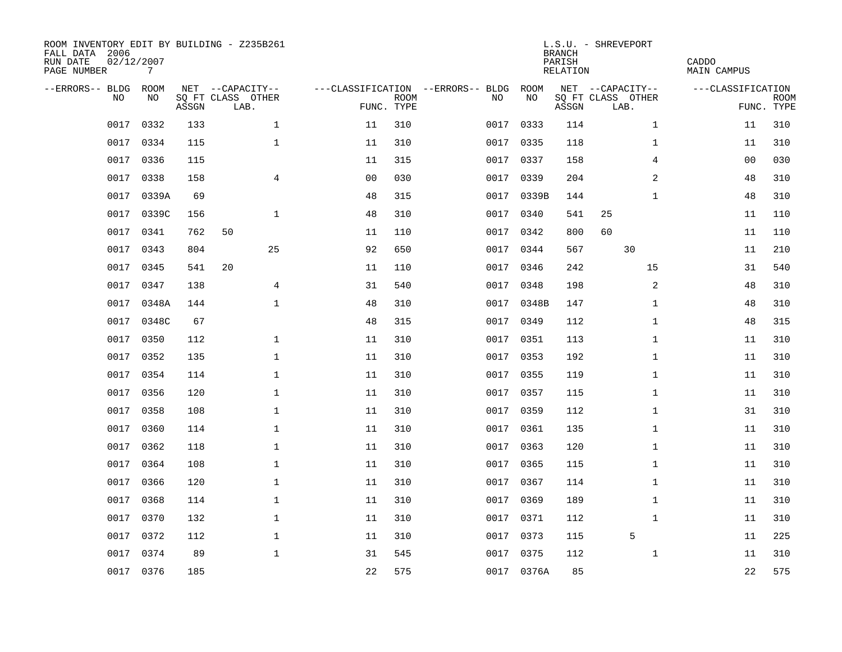| ROOM INVENTORY EDIT BY BUILDING - Z235B261<br>FALL DATA 2006<br>RUN DATE<br>PAGE NUMBER | 02/12/2007<br>7 |       |                           |                |             |                                   |            | <b>BRANCH</b><br>PARISH<br>RELATION | L.S.U. - SHREVEPORT       | CADDO<br>MAIN CAMPUS |                           |
|-----------------------------------------------------------------------------------------|-----------------|-------|---------------------------|----------------|-------------|-----------------------------------|------------|-------------------------------------|---------------------------|----------------------|---------------------------|
| --ERRORS-- BLDG ROOM                                                                    |                 |       | NET --CAPACITY--          |                |             | ---CLASSIFICATION --ERRORS-- BLDG | ROOM       |                                     | NET --CAPACITY--          | ---CLASSIFICATION    |                           |
| NO.                                                                                     | NO.             | ASSGN | SQ FT CLASS OTHER<br>LAB. | FUNC. TYPE     | <b>ROOM</b> | NO.                               | NO         | ASSGN                               | SQ FT CLASS OTHER<br>LAB. |                      | <b>ROOM</b><br>FUNC. TYPE |
| 0017                                                                                    | 0332            | 133   | $\mathbf{1}$              | 11             | 310         | 0017                              | 0333       | 114                                 | $\mathbf{1}$              | 11                   | 310                       |
| 0017                                                                                    | 0334            | 115   | $\mathbf{1}$              | 11             | 310         |                                   | 0017 0335  | 118                                 | $\mathbf{1}$              | 11                   | 310                       |
| 0017                                                                                    | 0336            | 115   |                           | 11             | 315         |                                   | 0017 0337  | 158                                 | 4                         | 00                   | 030                       |
| 0017                                                                                    | 0338            | 158   | 4                         | 0 <sub>0</sub> | 030         |                                   | 0017 0339  | 204                                 | 2                         | 48                   | 310                       |
| 0017                                                                                    | 0339A           | 69    |                           | 48             | 315         |                                   | 0017 0339B | 144                                 | $\mathbf{1}$              | 48                   | 310                       |
| 0017                                                                                    | 0339C           | 156   | $\mathbf{1}$              | 48             | 310         |                                   | 0017 0340  | 541                                 | 25                        | 11                   | 110                       |
| 0017                                                                                    | 0341            | 762   | 50                        | 11             | 110         | 0017                              | 0342       | 800                                 | 60                        | 11                   | 110                       |
| 0017                                                                                    | 0343            | 804   | 25                        | 92             | 650         |                                   | 0017 0344  | 567                                 | 30                        | 11                   | 210                       |
| 0017                                                                                    | 0345            | 541   | 20                        | 11             | 110         | 0017                              | 0346       | 242                                 | 15                        | 31                   | 540                       |
| 0017                                                                                    | 0347            | 138   | $\overline{4}$            | 31             | 540         |                                   | 0017 0348  | 198                                 | 2                         | 48                   | 310                       |
| 0017                                                                                    | 0348A           | 144   | $\mathbf{1}$              | 48             | 310         |                                   | 0017 0348B | 147                                 | $\mathbf{1}$              | 48                   | 310                       |
| 0017                                                                                    | 0348C           | 67    |                           | 48             | 315         |                                   | 0017 0349  | 112                                 | $\mathbf{1}$              | 48                   | 315                       |
| 0017                                                                                    | 0350            | 112   | $\mathbf 1$               | 11             | 310         | 0017                              | 0351       | 113                                 | $\mathbf{1}$              | 11                   | 310                       |
| 0017                                                                                    | 0352            | 135   | $\mathbf 1$               | 11             | 310         |                                   | 0017 0353  | 192                                 | $\mathbf{1}$              | 11                   | 310                       |
| 0017                                                                                    | 0354            | 114   | $\mathbf 1$               | 11             | 310         | 0017                              | 0355       | 119                                 | $\mathbf{1}$              | 11                   | 310                       |
| 0017                                                                                    | 0356            | 120   | $\mathbf{1}$              | 11             | 310         |                                   | 0017 0357  | 115                                 | $\mathbf{1}$              | 11                   | 310                       |
| 0017                                                                                    | 0358            | 108   | $\mathbf 1$               | 11             | 310         | 0017                              | 0359       | 112                                 | $\mathbf{1}$              | 31                   | 310                       |
| 0017                                                                                    | 0360            | 114   | $\mathbf 1$               | 11             | 310         |                                   | 0017 0361  | 135                                 | $\mathbf{1}$              | 11                   | 310                       |
| 0017                                                                                    | 0362            | 118   | $\mathbf 1$               | 11             | 310         |                                   | 0017 0363  | 120                                 | $\mathbf{1}$              | 11                   | 310                       |
| 0017                                                                                    | 0364            | 108   | $\mathbf{1}$              | 11             | 310         |                                   | 0017 0365  | 115                                 | $\mathbf{1}$              | 11                   | 310                       |
| 0017                                                                                    | 0366            | 120   | $\mathbf{1}$              | 11             | 310         |                                   | 0017 0367  | 114                                 | $\mathbf{1}$              | 11                   | 310                       |
| 0017                                                                                    | 0368            | 114   | $\mathbf 1$               | 11             | 310         | 0017                              | 0369       | 189                                 | $\mathbf{1}$              | 11                   | 310                       |
| 0017                                                                                    | 0370            | 132   | $\mathbf 1$               | 11             | 310         |                                   | 0017 0371  | 112                                 | $\mathbf{1}$              | 11                   | 310                       |
| 0017                                                                                    | 0372            | 112   | $\mathbf 1$               | 11             | 310         |                                   | 0017 0373  | 115                                 | 5                         | 11                   | 225                       |
| 0017                                                                                    | 0374            | 89    | $\mathbf{1}$              | 31             | 545         |                                   | 0017 0375  | 112                                 | $\mathbf{1}$              | 11                   | 310                       |
|                                                                                         | 0017 0376       | 185   |                           | 22             | 575         |                                   | 0017 0376A | 85                                  |                           | 22                   | 575                       |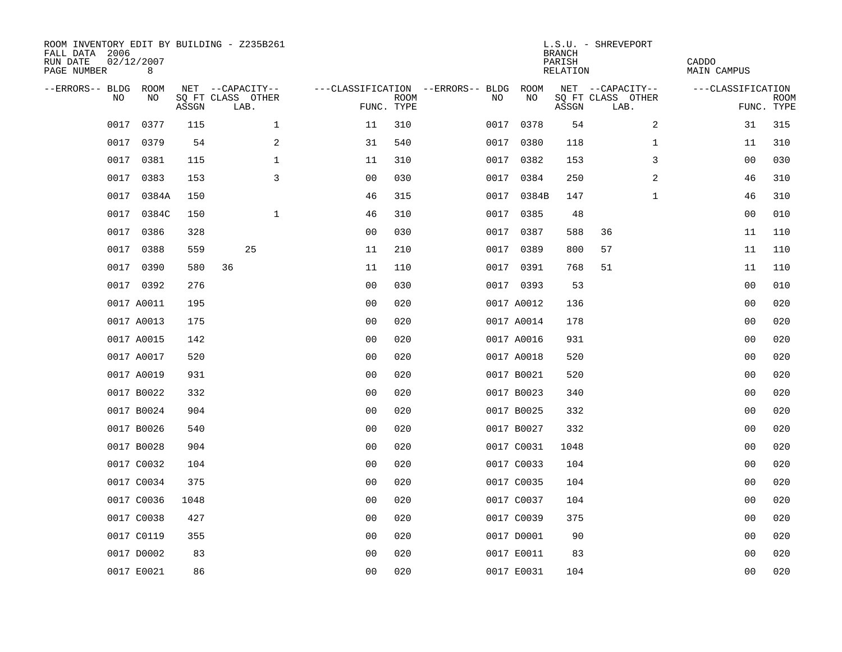| ROOM INVENTORY EDIT BY BUILDING - Z235B261<br>FALL DATA 2006<br>RUN DATE<br>PAGE NUMBER | 02/12/2007<br>8 |       |                           |                |             |                                        |            | <b>BRANCH</b><br>PARISH<br>RELATION | L.S.U. - SHREVEPORT       | CADDO<br><b>MAIN CAMPUS</b> |                           |
|-----------------------------------------------------------------------------------------|-----------------|-------|---------------------------|----------------|-------------|----------------------------------------|------------|-------------------------------------|---------------------------|-----------------------------|---------------------------|
| --ERRORS-- BLDG ROOM                                                                    |                 |       | NET --CAPACITY--          |                |             | ---CLASSIFICATION --ERRORS-- BLDG ROOM |            |                                     | NET --CAPACITY--          | ---CLASSIFICATION           |                           |
| NO                                                                                      | NO              | ASSGN | SQ FT CLASS OTHER<br>LAB. | FUNC. TYPE     | <b>ROOM</b> | NO                                     | NO         | ASSGN                               | SQ FT CLASS OTHER<br>LAB. |                             | <b>ROOM</b><br>FUNC. TYPE |
| 0017                                                                                    | 0377            | 115   | $\mathbf 1$               | 11             | 310         | 0017                                   | 0378       | 54                                  | 2                         | 31                          | 315                       |
| 0017                                                                                    | 0379            | 54    | 2                         | 31             | 540         |                                        | 0017 0380  | 118                                 | $\mathbf{1}$              | 11                          | 310                       |
| 0017                                                                                    | 0381            | 115   | $\mathbf{1}$              | 11             | 310         |                                        | 0017 0382  | 153                                 | 3                         | 0 <sub>0</sub>              | 030                       |
| 0017                                                                                    | 0383            | 153   | 3                         | 0 <sub>0</sub> | 030         |                                        | 0017 0384  | 250                                 | 2                         | 46                          | 310                       |
| 0017                                                                                    | 0384A           | 150   |                           | 46             | 315         |                                        | 0017 0384B | 147                                 | $\mathbf{1}$              | 46                          | 310                       |
| 0017                                                                                    | 0384C           | 150   | $\mathbf{1}$              | 46             | 310         |                                        | 0017 0385  | 48                                  |                           | 00                          | 010                       |
| 0017                                                                                    | 0386            | 328   |                           | 00             | 030         | 0017                                   | 0387       | 588                                 | 36                        | 11                          | 110                       |
| 0017                                                                                    | 0388            | 559   | 25                        | 11             | 210         |                                        | 0017 0389  | 800                                 | 57                        | 11                          | 110                       |
| 0017                                                                                    | 0390            | 580   | 36                        | 11             | 110         |                                        | 0017 0391  | 768                                 | 51                        | 11                          | 110                       |
|                                                                                         | 0017 0392       | 276   |                           | 0 <sub>0</sub> | 030         |                                        | 0017 0393  | 53                                  |                           | 0 <sub>0</sub>              | 010                       |
|                                                                                         | 0017 A0011      | 195   |                           | 0 <sub>0</sub> | 020         |                                        | 0017 A0012 | 136                                 |                           | 0 <sub>0</sub>              | 020                       |
|                                                                                         | 0017 A0013      | 175   |                           | 0 <sub>0</sub> | 020         |                                        | 0017 A0014 | 178                                 |                           | 0 <sub>0</sub>              | 020                       |
|                                                                                         | 0017 A0015      | 142   |                           | 0 <sub>0</sub> | 020         |                                        | 0017 A0016 | 931                                 |                           | 0 <sub>0</sub>              | 020                       |
|                                                                                         | 0017 A0017      | 520   |                           | 00             | 020         |                                        | 0017 A0018 | 520                                 |                           | 0 <sub>0</sub>              | 020                       |
|                                                                                         | 0017 A0019      | 931   |                           | 0 <sub>0</sub> | 020         |                                        | 0017 B0021 | 520                                 |                           | 0 <sub>0</sub>              | 020                       |
|                                                                                         | 0017 B0022      | 332   |                           | 0 <sub>0</sub> | 020         |                                        | 0017 B0023 | 340                                 |                           | 0 <sub>0</sub>              | 020                       |
|                                                                                         | 0017 B0024      | 904   |                           | 0 <sub>0</sub> | 020         |                                        | 0017 B0025 | 332                                 |                           | 00                          | 020                       |
|                                                                                         | 0017 B0026      | 540   |                           | 0 <sub>0</sub> | 020         |                                        | 0017 B0027 | 332                                 |                           | 00                          | 020                       |
|                                                                                         | 0017 B0028      | 904   |                           | 0 <sub>0</sub> | 020         |                                        | 0017 C0031 | 1048                                |                           | 00                          | 020                       |
|                                                                                         | 0017 C0032      | 104   |                           | 0 <sub>0</sub> | 020         |                                        | 0017 C0033 | 104                                 |                           | 0 <sub>0</sub>              | 020                       |
|                                                                                         | 0017 C0034      | 375   |                           | 0 <sub>0</sub> | 020         |                                        | 0017 C0035 | 104                                 |                           | 00                          | 020                       |
|                                                                                         | 0017 C0036      | 1048  |                           | 0 <sub>0</sub> | 020         |                                        | 0017 C0037 | 104                                 |                           | 00                          | 020                       |
|                                                                                         | 0017 C0038      | 427   |                           | 0 <sup>0</sup> | 020         |                                        | 0017 C0039 | 375                                 |                           | 0 <sub>0</sub>              | 020                       |
|                                                                                         | 0017 C0119      | 355   |                           | 0 <sub>0</sub> | 020         |                                        | 0017 D0001 | 90                                  |                           | 00                          | 020                       |
|                                                                                         | 0017 D0002      | 83    |                           | 0 <sub>0</sub> | 020         |                                        | 0017 E0011 | 83                                  |                           | 0 <sub>0</sub>              | 020                       |
|                                                                                         | 0017 E0021      | 86    |                           | 0 <sub>0</sub> | 020         |                                        | 0017 E0031 | 104                                 |                           | 0 <sub>0</sub>              | 020                       |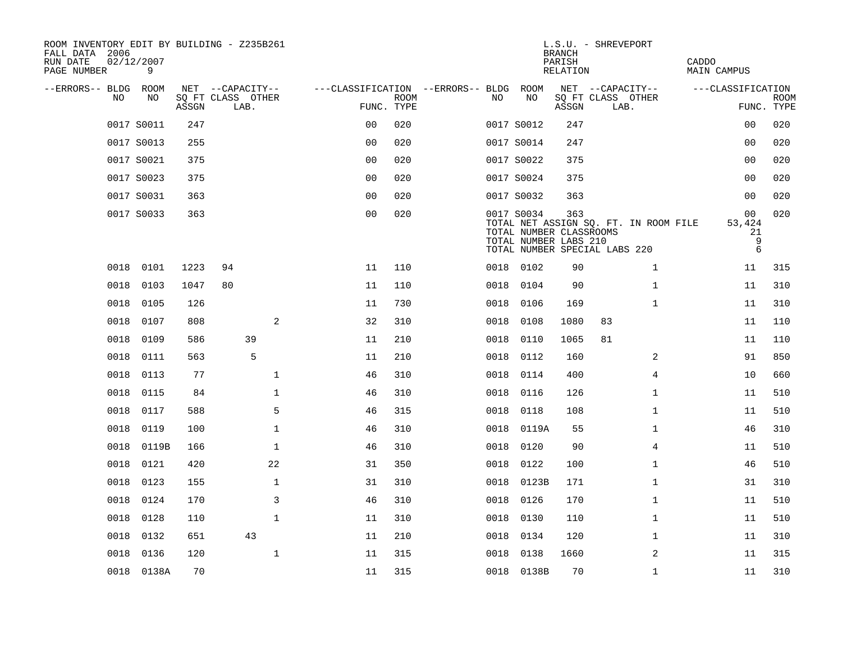| ROOM INVENTORY EDIT BY BUILDING - Z235B261<br>FALL DATA 2006<br>RUN DATE<br>PAGE NUMBER | 02/12/2007<br>9 |       |                           |                                        |             |      |                                                                | <b>BRANCH</b><br>PARISH<br>RELATION | L.S.U. - SHREVEPORT                                                    | CADDO<br>MAIN CAMPUS                   |                           |
|-----------------------------------------------------------------------------------------|-----------------|-------|---------------------------|----------------------------------------|-------------|------|----------------------------------------------------------------|-------------------------------------|------------------------------------------------------------------------|----------------------------------------|---------------------------|
| --ERRORS-- BLDG ROOM                                                                    |                 |       | NET --CAPACITY--          | ---CLASSIFICATION --ERRORS-- BLDG ROOM |             |      |                                                                |                                     | NET --CAPACITY--                                                       | ---CLASSIFICATION                      |                           |
| N <sub>O</sub>                                                                          | NO.             | ASSGN | SO FT CLASS OTHER<br>LAB. | FUNC. TYPE                             | <b>ROOM</b> | NO.  | NO                                                             | ASSGN                               | SQ FT CLASS OTHER<br>LAB.                                              |                                        | <b>ROOM</b><br>FUNC. TYPE |
|                                                                                         | 0017 S0011      | 247   |                           | 0 <sub>0</sub>                         | 020         |      | 0017 S0012                                                     | 247                                 |                                                                        | 00                                     | 020                       |
|                                                                                         | 0017 S0013      | 255   |                           | 0 <sub>0</sub>                         | 020         |      | 0017 S0014                                                     | 247                                 |                                                                        | 0 <sub>0</sub>                         | 020                       |
|                                                                                         | 0017 S0021      | 375   |                           | 0 <sub>0</sub>                         | 020         |      | 0017 S0022                                                     | 375                                 |                                                                        | 0 <sub>0</sub>                         | 020                       |
|                                                                                         | 0017 S0023      | 375   |                           | 0 <sub>0</sub>                         | 020         |      | 0017 S0024                                                     | 375                                 |                                                                        | 0 <sub>0</sub>                         | 020                       |
|                                                                                         | 0017 S0031      | 363   |                           | 00                                     | 020         |      | 0017 S0032                                                     | 363                                 |                                                                        | 00                                     | 020                       |
|                                                                                         | 0017 S0033      | 363   |                           | 0 <sub>0</sub>                         | 020         |      | 0017 S0034<br>TOTAL NUMBER CLASSROOMS<br>TOTAL NUMBER LABS 210 | 363                                 | TOTAL NET ASSIGN SQ. FT. IN ROOM FILE<br>TOTAL NUMBER SPECIAL LABS 220 | 00<br>53,424<br>21<br>$\mathsf 9$<br>6 | 020                       |
| 0018                                                                                    | 0101            | 1223  | 94                        | 11                                     | 110         |      | 0018 0102                                                      | 90                                  | $\mathbf{1}$                                                           | 11                                     | 315                       |
| 0018                                                                                    | 0103            | 1047  | 80                        | 11                                     | 110         | 0018 | 0104                                                           | 90                                  | $\mathbf{1}$                                                           | 11                                     | 310                       |
| 0018                                                                                    | 0105            | 126   |                           | 11                                     | 730         | 0018 | 0106                                                           | 169                                 | $\mathbf{1}$                                                           | 11                                     | 310                       |
| 0018                                                                                    | 0107            | 808   | 2                         | 32                                     | 310         | 0018 | 0108                                                           | 1080                                | 83                                                                     | 11                                     | 110                       |
| 0018                                                                                    | 0109            | 586   | 39                        | 11                                     | 210         | 0018 | 0110                                                           | 1065                                | 81                                                                     | 11                                     | 110                       |
| 0018                                                                                    | 0111            | 563   | 5                         | 11                                     | 210         | 0018 | 0112                                                           | 160                                 | 2                                                                      | 91                                     | 850                       |
| 0018                                                                                    | 0113            | 77    | $\mathbf{1}$              | 46                                     | 310         | 0018 | 0114                                                           | 400                                 | 4                                                                      | 10                                     | 660                       |
| 0018                                                                                    | 0115            | 84    | $\mathbf 1$               | 46                                     | 310         | 0018 | 0116                                                           | 126                                 | $\mathbf{1}$                                                           | 11                                     | 510                       |
| 0018                                                                                    | 0117            | 588   | 5                         | 46                                     | 315         | 0018 | 0118                                                           | 108                                 | $\mathbf{1}$                                                           | 11                                     | 510                       |
| 0018                                                                                    | 0119            | 100   | $\mathbf 1$               | 46                                     | 310         | 0018 | 0119A                                                          | 55                                  | $\mathbf{1}$                                                           | 46                                     | 310                       |
| 0018                                                                                    | 0119B           | 166   | $\mathbf{1}$              | 46                                     | 310         | 0018 | 0120                                                           | 90                                  | 4                                                                      | 11                                     | 510                       |
| 0018                                                                                    | 0121            | 420   | 22                        | 31                                     | 350         | 0018 | 0122                                                           | 100                                 | $\mathbf{1}$                                                           | 46                                     | 510                       |
| 0018                                                                                    | 0123            | 155   | $\mathbf 1$               | 31                                     | 310         | 0018 | 0123B                                                          | 171                                 | $\mathbf{1}$                                                           | 31                                     | 310                       |
| 0018                                                                                    | 0124            | 170   | 3                         | 46                                     | 310         | 0018 | 0126                                                           | 170                                 | $\mathbf{1}$                                                           | 11                                     | 510                       |
| 0018                                                                                    | 0128            | 110   | $\mathbf{1}$              | 11                                     | 310         | 0018 | 0130                                                           | 110                                 | $\mathbf{1}$                                                           | 11                                     | 510                       |
| 0018                                                                                    | 0132            | 651   | 43                        | 11                                     | 210         | 0018 | 0134                                                           | 120                                 | $\mathbf{1}$                                                           | 11                                     | 310                       |
| 0018                                                                                    | 0136            | 120   | $\mathbf 1$               | 11                                     | 315         | 0018 | 0138                                                           | 1660                                | 2                                                                      | 11                                     | 315                       |
|                                                                                         | 0018 0138A      | 70    |                           | 11                                     | 315         |      | 0018 0138B                                                     | 70                                  | $\mathbf{1}$                                                           | 11                                     | 310                       |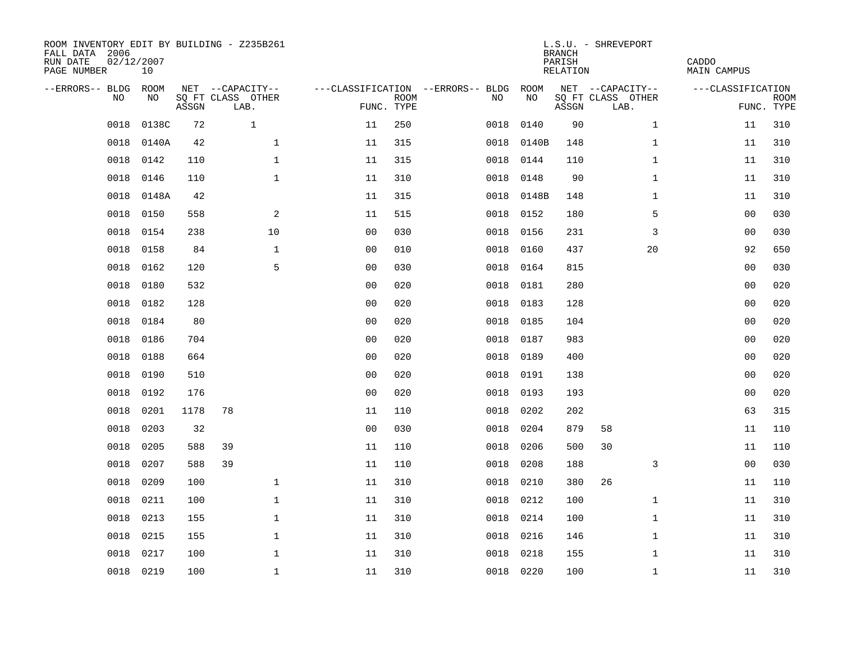| ROOM INVENTORY EDIT BY BUILDING - Z235B261<br>FALL DATA 2006<br>RUN DATE<br>PAGE NUMBER | 02/12/2007<br>10 |       |                           |                |             |                                        |            | <b>BRANCH</b><br>PARISH<br>RELATION | L.S.U. - SHREVEPORT       | CADDO<br>MAIN CAMPUS |                           |
|-----------------------------------------------------------------------------------------|------------------|-------|---------------------------|----------------|-------------|----------------------------------------|------------|-------------------------------------|---------------------------|----------------------|---------------------------|
| --ERRORS-- BLDG ROOM                                                                    |                  |       | NET --CAPACITY--          |                |             | ---CLASSIFICATION --ERRORS-- BLDG ROOM |            |                                     | NET --CAPACITY--          | ---CLASSIFICATION    |                           |
| NO.                                                                                     | NO.              | ASSGN | SQ FT CLASS OTHER<br>LAB. | FUNC. TYPE     | <b>ROOM</b> | NO.                                    | NO         | ASSGN                               | SQ FT CLASS OTHER<br>LAB. |                      | <b>ROOM</b><br>FUNC. TYPE |
| 0018                                                                                    | 0138C            | 72    | $\mathbf{1}$              | 11             | 250         | 0018                                   | 0140       | 90                                  | $\mathbf{1}$              | 11                   | 310                       |
| 0018                                                                                    | 0140A            | 42    | $\mathbf{1}$              | 11             | 315         |                                        | 0018 0140B | 148                                 | $\mathbf{1}$              | 11                   | 310                       |
| 0018                                                                                    | 0142             | 110   | $\mathbf 1$               | 11             | 315         | 0018                                   | 0144       | 110                                 | $\mathbf{1}$              | 11                   | 310                       |
| 0018                                                                                    | 0146             | 110   | $\mathbf 1$               | 11             | 310         |                                        | 0018 0148  | 90                                  | $\mathbf{1}$              | 11                   | 310                       |
| 0018                                                                                    | 0148A            | 42    |                           | 11             | 315         | 0018                                   | 0148B      | 148                                 | $\mathbf{1}$              | 11                   | 310                       |
| 0018                                                                                    | 0150             | 558   | 2                         | 11             | 515         |                                        | 0018 0152  | 180                                 | 5                         | 00                   | 030                       |
| 0018                                                                                    | 0154             | 238   | 10                        | 0 <sub>0</sub> | 030         | 0018                                   | 0156       | 231                                 | 3                         | 0 <sub>0</sub>       | 030                       |
| 0018                                                                                    | 0158             | 84    | $\mathbf{1}$              | 0 <sub>0</sub> | 010         | 0018                                   | 0160       | 437                                 | 20                        | 92                   | 650                       |
| 0018                                                                                    | 0162             | 120   | 5                         | 0 <sub>0</sub> | 030         | 0018                                   | 0164       | 815                                 |                           | 0 <sub>0</sub>       | 030                       |
| 0018                                                                                    | 0180             | 532   |                           | 0 <sub>0</sub> | 020         |                                        | 0018 0181  | 280                                 |                           | 0 <sub>0</sub>       | 020                       |
| 0018                                                                                    | 0182             | 128   |                           | 0 <sub>0</sub> | 020         | 0018                                   | 0183       | 128                                 |                           | 0 <sub>0</sub>       | 020                       |
| 0018                                                                                    | 0184             | 80    |                           | 0 <sub>0</sub> | 020         |                                        | 0018 0185  | 104                                 |                           | 00                   | 020                       |
| 0018                                                                                    | 0186             | 704   |                           | 0 <sub>0</sub> | 020         | 0018                                   | 0187       | 983                                 |                           | 0 <sub>0</sub>       | 020                       |
| 0018                                                                                    | 0188             | 664   |                           | 0 <sub>0</sub> | 020         | 0018                                   | 0189       | 400                                 |                           | 00                   | 020                       |
| 0018                                                                                    | 0190             | 510   |                           | 0 <sub>0</sub> | 020         | 0018                                   | 0191       | 138                                 |                           | 0 <sub>0</sub>       | 020                       |
| 0018                                                                                    | 0192             | 176   |                           | 0 <sub>0</sub> | 020         | 0018                                   | 0193       | 193                                 |                           | 0 <sub>0</sub>       | 020                       |
| 0018                                                                                    | 0201             | 1178  | 78                        | 11             | 110         | 0018                                   | 0202       | 202                                 |                           | 63                   | 315                       |
| 0018                                                                                    | 0203             | 32    |                           | 0 <sub>0</sub> | 030         | 0018                                   | 0204       | 879                                 | 58                        | 11                   | 110                       |
| 0018                                                                                    | 0205             | 588   | 39                        | 11             | 110         | 0018                                   | 0206       | 500                                 | 30                        | 11                   | 110                       |
| 0018                                                                                    | 0207             | 588   | 39                        | 11             | 110         | 0018                                   | 0208       | 188                                 | 3                         | 0 <sub>0</sub>       | 030                       |
| 0018                                                                                    | 0209             | 100   | $\mathbf{1}$              | 11             | 310         | 0018                                   | 0210       | 380                                 | 26                        | 11                   | 110                       |
| 0018                                                                                    | 0211             | 100   | $\mathbf 1$               | 11             | 310         | 0018                                   | 0212       | 100                                 | $\mathbf{1}$              | 11                   | 310                       |
| 0018                                                                                    | 0213             | 155   | $\mathbf 1$               | 11             | 310         | 0018                                   | 0214       | 100                                 | $\mathbf{1}$              | 11                   | 310                       |
| 0018                                                                                    | 0215             | 155   | $\mathbf 1$               | 11             | 310         | 0018                                   | 0216       | 146                                 | $\mathbf{1}$              | 11                   | 310                       |
| 0018                                                                                    | 0217             | 100   | $\mathbf 1$               | 11             | 310         | 0018                                   | 0218       | 155                                 | $\mathbf{1}$              | 11                   | 310                       |
|                                                                                         | 0018 0219        | 100   | $\mathbf{1}$              | 11             | 310         |                                        | 0018 0220  | 100                                 | $\mathbf{1}$              | 11                   | 310                       |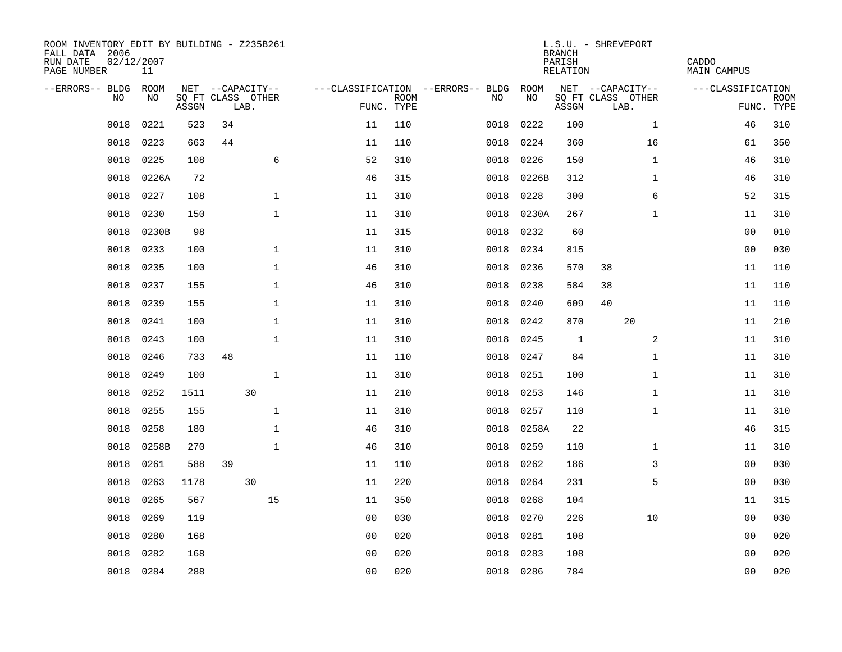| ROOM INVENTORY EDIT BY BUILDING - Z235B261<br>FALL DATA 2006<br>RUN DATE<br>PAGE NUMBER | 02/12/2007<br>11 |       |    |                           |                |             |                                        |            | <b>BRANCH</b><br>PARISH<br>RELATION | L.S.U. - SHREVEPORT       | CADDO<br>MAIN CAMPUS |                           |
|-----------------------------------------------------------------------------------------|------------------|-------|----|---------------------------|----------------|-------------|----------------------------------------|------------|-------------------------------------|---------------------------|----------------------|---------------------------|
| --ERRORS-- BLDG ROOM                                                                    |                  |       |    | NET --CAPACITY--          |                |             | ---CLASSIFICATION --ERRORS-- BLDG ROOM |            |                                     | NET --CAPACITY--          | ---CLASSIFICATION    |                           |
| NO.                                                                                     | NO.              | ASSGN |    | SQ FT CLASS OTHER<br>LAB. | FUNC. TYPE     | <b>ROOM</b> | NO.                                    | NO         | ASSGN                               | SQ FT CLASS OTHER<br>LAB. |                      | <b>ROOM</b><br>FUNC. TYPE |
| 0018                                                                                    | 0221             | 523   | 34 |                           | 11             | 110         | 0018                                   | 0222       | 100                                 | $\mathbf{1}$              | 46                   | 310                       |
| 0018                                                                                    | 0223             | 663   | 44 |                           | 11             | 110         | 0018                                   | 0224       | 360                                 | 16                        | 61                   | 350                       |
| 0018                                                                                    | 0225             | 108   |    | 6                         | 52             | 310         | 0018                                   | 0226       | 150                                 | $\mathbf{1}$              | 46                   | 310                       |
| 0018                                                                                    | 0226A            | 72    |    |                           | 46             | 315         |                                        | 0018 0226B | 312                                 | $\mathbf{1}$              | 46                   | 310                       |
| 0018                                                                                    | 0227             | 108   |    | $\mathbf 1$               | 11             | 310         | 0018                                   | 0228       | 300                                 | 6                         | 52                   | 315                       |
| 0018                                                                                    | 0230             | 150   |    | $\mathbf{1}$              | 11             | 310         |                                        | 0018 0230A | 267                                 | $\mathbf{1}$              | 11                   | 310                       |
| 0018                                                                                    | 0230B            | 98    |    |                           | 11             | 315         | 0018                                   | 0232       | 60                                  |                           | 0 <sub>0</sub>       | 010                       |
| 0018                                                                                    | 0233             | 100   |    | $\mathbf 1$               | 11             | 310         | 0018                                   | 0234       | 815                                 |                           | 00                   | 030                       |
| 0018                                                                                    | 0235             | 100   |    | $\mathbf{1}$              | 46             | 310         | 0018                                   | 0236       | 570                                 | 38                        | 11                   | 110                       |
| 0018                                                                                    | 0237             | 155   |    | $\mathbf 1$               | 46             | 310         | 0018                                   | 0238       | 584                                 | 38                        | 11                   | 110                       |
| 0018                                                                                    | 0239             | 155   |    | $\mathbf{1}$              | 11             | 310         | 0018                                   | 0240       | 609                                 | 40                        | 11                   | 110                       |
| 0018                                                                                    | 0241             | 100   |    | $\mathbf 1$               | 11             | 310         | 0018                                   | 0242       | 870                                 | 20                        | 11                   | 210                       |
| 0018                                                                                    | 0243             | 100   |    | $\mathbf{1}$              | 11             | 310         | 0018                                   | 0245       | 1                                   | 2                         | 11                   | 310                       |
| 0018                                                                                    | 0246             | 733   | 48 |                           | 11             | 110         | 0018                                   | 0247       | 84                                  | $\mathbf{1}$              | 11                   | 310                       |
| 0018                                                                                    | 0249             | 100   |    | $\mathbf 1$               | 11             | 310         | 0018                                   | 0251       | 100                                 | $\mathbf{1}$              | 11                   | 310                       |
| 0018                                                                                    | 0252             | 1511  |    | 30                        | 11             | 210         | 0018                                   | 0253       | 146                                 | $\mathbf{1}$              | 11                   | 310                       |
| 0018                                                                                    | 0255             | 155   |    | $\mathbf 1$               | 11             | 310         | 0018                                   | 0257       | 110                                 | $\mathbf{1}$              | 11                   | 310                       |
| 0018                                                                                    | 0258             | 180   |    | $\mathbf 1$               | 46             | 310         | 0018                                   | 0258A      | 22                                  |                           | 46                   | 315                       |
| 0018                                                                                    | 0258B            | 270   |    | $\mathbf{1}$              | 46             | 310         | 0018                                   | 0259       | 110                                 | $\mathbf{1}$              | 11                   | 310                       |
| 0018                                                                                    | 0261             | 588   | 39 |                           | 11             | 110         | 0018                                   | 0262       | 186                                 | 3                         | 0 <sub>0</sub>       | 030                       |
| 0018                                                                                    | 0263             | 1178  |    | 30                        | 11             | 220         | 0018                                   | 0264       | 231                                 | 5                         | 0 <sub>0</sub>       | 030                       |
| 0018                                                                                    | 0265             | 567   |    | 15                        | 11             | 350         | 0018                                   | 0268       | 104                                 |                           | 11                   | 315                       |
| 0018                                                                                    | 0269             | 119   |    |                           | 0 <sub>0</sub> | 030         | 0018                                   | 0270       | 226                                 | 10                        | 00                   | 030                       |
| 0018                                                                                    | 0280             | 168   |    |                           | 00             | 020         | 0018                                   | 0281       | 108                                 |                           | 00                   | 020                       |
| 0018                                                                                    | 0282             | 168   |    |                           | 0 <sub>0</sub> | 020         | 0018                                   | 0283       | 108                                 |                           | 00                   | 020                       |
|                                                                                         | 0018 0284        | 288   |    |                           | 0 <sub>0</sub> | 020         |                                        | 0018 0286  | 784                                 |                           | 0 <sub>0</sub>       | 020                       |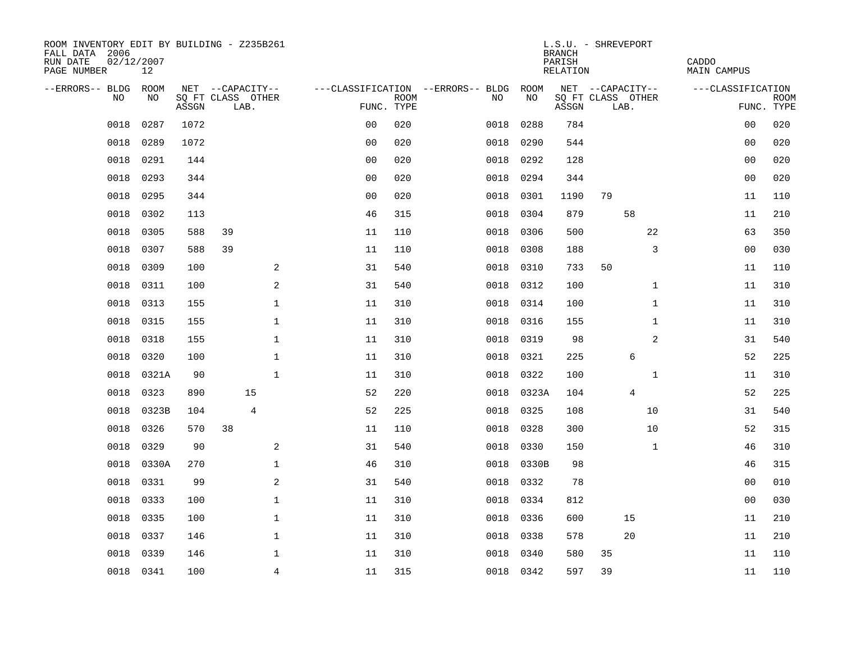| ROOM INVENTORY EDIT BY BUILDING - Z235B261<br>FALL DATA 2006<br>RUN DATE<br>PAGE NUMBER | 02/12/2007<br>12 |       |    |                           |                |             |                                   |           | <b>BRANCH</b><br>PARISH<br>RELATION | L.S.U. - SHREVEPORT       | CADDO<br><b>MAIN CAMPUS</b> |                           |
|-----------------------------------------------------------------------------------------|------------------|-------|----|---------------------------|----------------|-------------|-----------------------------------|-----------|-------------------------------------|---------------------------|-----------------------------|---------------------------|
| --ERRORS-- BLDG ROOM                                                                    |                  |       |    | NET --CAPACITY--          |                |             | ---CLASSIFICATION --ERRORS-- BLDG | ROOM      |                                     | NET --CAPACITY--          | ---CLASSIFICATION           |                           |
| NO                                                                                      | NO               | ASSGN |    | SQ FT CLASS OTHER<br>LAB. | FUNC. TYPE     | <b>ROOM</b> | NO                                | NO        | ASSGN                               | SQ FT CLASS OTHER<br>LAB. |                             | <b>ROOM</b><br>FUNC. TYPE |
| 0018                                                                                    | 0287             | 1072  |    |                           | 0 <sub>0</sub> | 020         | 0018                              | 0288      | 784                                 |                           | 00                          | 020                       |
| 0018                                                                                    | 0289             | 1072  |    |                           | 0 <sub>0</sub> | 020         | 0018                              | 0290      | 544                                 |                           | 0 <sub>0</sub>              | 020                       |
| 0018                                                                                    | 0291             | 144   |    |                           | 0 <sub>0</sub> | 020         | 0018                              | 0292      | 128                                 |                           | 00                          | 020                       |
| 0018                                                                                    | 0293             | 344   |    |                           | 0 <sub>0</sub> | 020         | 0018                              | 0294      | 344                                 |                           | 00                          | 020                       |
| 0018                                                                                    | 0295             | 344   |    |                           | 0 <sub>0</sub> | 020         | 0018                              | 0301      | 1190                                | 79                        | 11                          | 110                       |
| 0018                                                                                    | 0302             | 113   |    |                           | 46             | 315         | 0018                              | 0304      | 879                                 | 58                        | 11                          | 210                       |
| 0018                                                                                    | 0305             | 588   | 39 |                           | 11             | 110         | 0018                              | 0306      | 500                                 | 22                        | 63                          | 350                       |
| 0018                                                                                    | 0307             | 588   | 39 |                           | 11             | 110         | 0018                              | 0308      | 188                                 | 3                         | 0 <sub>0</sub>              | 030                       |
| 0018                                                                                    | 0309             | 100   |    | 2                         | 31             | 540         | 0018                              | 0310      | 733                                 | 50                        | 11                          | 110                       |
| 0018                                                                                    | 0311             | 100   |    | 2                         | 31             | 540         | 0018                              | 0312      | 100                                 | $\mathbf{1}$              | 11                          | 310                       |
| 0018                                                                                    | 0313             | 155   |    | $\mathbf{1}$              | 11             | 310         | 0018                              | 0314      | 100                                 | $\mathbf{1}$              | 11                          | 310                       |
| 0018                                                                                    | 0315             | 155   |    | $\mathbf{1}$              | 11             | 310         | 0018                              | 0316      | 155                                 | $\mathbf{1}$              | 11                          | 310                       |
| 0018                                                                                    | 0318             | 155   |    | $\mathbf 1$               | 11             | 310         | 0018                              | 0319      | 98                                  | 2                         | 31                          | 540                       |
| 0018                                                                                    | 0320             | 100   |    | $\mathbf 1$               | 11             | 310         | 0018                              | 0321      | 225                                 | 6                         | 52                          | 225                       |
| 0018                                                                                    | 0321A            | 90    |    | $\mathbf{1}$              | 11             | 310         | 0018                              | 0322      | 100                                 | $\mathbf{1}$              | 11                          | 310                       |
| 0018                                                                                    | 0323             | 890   |    | 15                        | 52             | 220         | 0018                              | 0323A     | 104                                 | 4                         | 52                          | 225                       |
| 0018                                                                                    | 0323B            | 104   |    | $\overline{4}$            | 52             | 225         | 0018                              | 0325      | 108                                 | 10                        | 31                          | 540                       |
| 0018                                                                                    | 0326             | 570   | 38 |                           | 11             | 110         | 0018                              | 0328      | 300                                 | 10                        | 52                          | 315                       |
| 0018                                                                                    | 0329             | 90    |    | 2                         | 31             | 540         | 0018                              | 0330      | 150                                 | $\mathbf{1}$              | 46                          | 310                       |
| 0018                                                                                    | 0330A            | 270   |    | $\mathbf 1$               | 46             | 310         | 0018                              | 0330B     | 98                                  |                           | 46                          | 315                       |
| 0018                                                                                    | 0331             | 99    |    | $\mathbf{2}$              | 31             | 540         | 0018                              | 0332      | 78                                  |                           | 0 <sub>0</sub>              | 010                       |
| 0018                                                                                    | 0333             | 100   |    | $\mathbf{1}$              | 11             | 310         | 0018                              | 0334      | 812                                 |                           | 0 <sub>0</sub>              | 030                       |
| 0018                                                                                    | 0335             | 100   |    | $\mathbf 1$               | 11             | 310         | 0018                              | 0336      | 600                                 | 15                        | 11                          | 210                       |
| 0018                                                                                    | 0337             | 146   |    | $\mathbf{1}$              | 11             | 310         | 0018                              | 0338      | 578                                 | 20                        | 11                          | 210                       |
| 0018                                                                                    | 0339             | 146   |    | 1                         | 11             | 310         | 0018                              | 0340      | 580                                 | 35                        | 11                          | 110                       |
|                                                                                         | 0018 0341        | 100   |    | $\overline{4}$            | 11             | 315         |                                   | 0018 0342 | 597                                 | 39                        | 11                          | 110                       |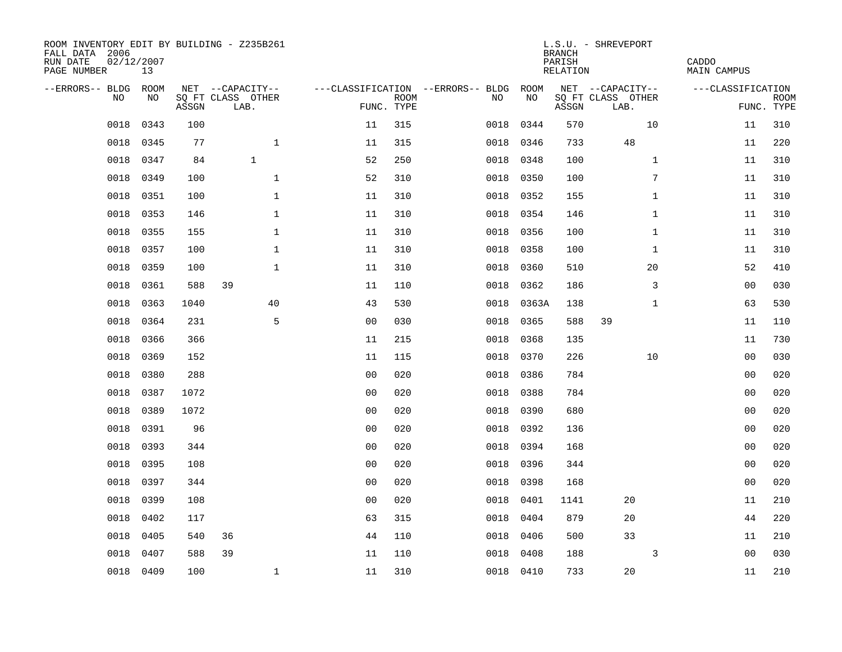| ROOM INVENTORY EDIT BY BUILDING - Z235B261<br>FALL DATA 2006<br>RUN DATE<br>PAGE NUMBER | 02/12/2007<br>13 |       |                           |                |                           |                                   |           | <b>BRANCH</b><br>PARISH<br><b>RELATION</b> | L.S.U. - SHREVEPORT       | CADDO<br><b>MAIN CAMPUS</b> |                           |
|-----------------------------------------------------------------------------------------|------------------|-------|---------------------------|----------------|---------------------------|-----------------------------------|-----------|--------------------------------------------|---------------------------|-----------------------------|---------------------------|
| --ERRORS-- BLDG                                                                         | ROOM             |       | NET --CAPACITY--          |                |                           | ---CLASSIFICATION --ERRORS-- BLDG | ROOM      |                                            | NET --CAPACITY--          | ---CLASSIFICATION           |                           |
| NO                                                                                      | NO               | ASSGN | SQ FT CLASS OTHER<br>LAB. |                | <b>ROOM</b><br>FUNC. TYPE | NO                                | NO        | ASSGN                                      | SQ FT CLASS OTHER<br>LAB. |                             | <b>ROOM</b><br>FUNC. TYPE |
| 0018                                                                                    | 0343             | 100   |                           | 11             | 315                       | 0018                              | 0344      | 570                                        | 10                        | 11                          | 310                       |
| 0018                                                                                    | 0345             | 77    | $\mathbf{1}$              | 11             | 315                       | 0018                              | 0346      | 733                                        | 48                        | 11                          | 220                       |
| 0018                                                                                    | 0347             | 84    | $\mathbf{1}$              | 52             | 250                       | 0018                              | 0348      | 100                                        | $\mathbf{1}$              | 11                          | 310                       |
| 0018                                                                                    | 0349             | 100   | $\mathbf 1$               | 52             | 310                       | 0018                              | 0350      | 100                                        | 7                         | 11                          | 310                       |
| 0018                                                                                    | 0351             | 100   | $\mathbf{1}$              | 11             | 310                       | 0018                              | 0352      | 155                                        | $\mathbf{1}$              | 11                          | 310                       |
| 0018                                                                                    | 0353             | 146   | $\mathbf{1}$              | 11             | 310                       |                                   | 0018 0354 | 146                                        | $\mathbf{1}$              | 11                          | 310                       |
| 0018                                                                                    | 0355             | 155   | $\mathbf{1}$              | 11             | 310                       |                                   | 0018 0356 | 100                                        | $\mathbf{1}$              | 11                          | 310                       |
| 0018                                                                                    | 0357             | 100   | $\mathbf{1}$              | 11             | 310                       |                                   | 0018 0358 | 100                                        | $\mathbf{1}$              | 11                          | 310                       |
| 0018                                                                                    | 0359             | 100   | $\mathbf{1}$              | 11             | 310                       | 0018                              | 0360      | 510                                        | 20                        | 52                          | 410                       |
| 0018                                                                                    | 0361             | 588   | 39                        | 11             | 110                       | 0018                              | 0362      | 186                                        | 3                         | 00                          | 030                       |
| 0018                                                                                    | 0363             | 1040  | 40                        | 43             | 530                       | 0018                              | 0363A     | 138                                        | $\mathbf{1}$              | 63                          | 530                       |
| 0018                                                                                    | 0364             | 231   | 5                         | 0 <sub>0</sub> | 030                       | 0018                              | 0365      | 588                                        | 39                        | 11                          | 110                       |
| 0018                                                                                    | 0366             | 366   |                           | 11             | 215                       | 0018                              | 0368      | 135                                        |                           | 11                          | 730                       |
| 0018                                                                                    | 0369             | 152   |                           | 11             | 115                       | 0018                              | 0370      | 226                                        | 10                        | 00                          | 030                       |
| 0018                                                                                    | 0380             | 288   |                           | 0 <sub>0</sub> | 020                       | 0018                              | 0386      | 784                                        |                           | 00                          | 020                       |
| 0018                                                                                    | 0387             | 1072  |                           | 0 <sub>0</sub> | 020                       | 0018                              | 0388      | 784                                        |                           | 00                          | 020                       |
| 0018                                                                                    | 0389             | 1072  |                           | 0 <sub>0</sub> | 020                       | 0018                              | 0390      | 680                                        |                           | 0 <sub>0</sub>              | 020                       |
| 0018                                                                                    | 0391             | 96    |                           | 0 <sub>0</sub> | 020                       | 0018                              | 0392      | 136                                        |                           | 0 <sub>0</sub>              | 020                       |
| 0018                                                                                    | 0393             | 344   |                           | 0 <sub>0</sub> | 020                       | 0018                              | 0394      | 168                                        |                           | 0 <sub>0</sub>              | 020                       |
| 0018                                                                                    | 0395             | 108   |                           | 0 <sub>0</sub> | 020                       | 0018                              | 0396      | 344                                        |                           | 00                          | 020                       |
| 0018                                                                                    | 0397             | 344   |                           | 0 <sub>0</sub> | 020                       | 0018                              | 0398      | 168                                        |                           | 00                          | 020                       |
| 0018                                                                                    | 0399             | 108   |                           | 00             | 020                       | 0018                              | 0401      | 1141                                       | 20                        | 11                          | 210                       |
| 0018                                                                                    | 0402             | 117   |                           | 63             | 315                       | 0018                              | 0404      | 879                                        | 20                        | 44                          | 220                       |
| 0018                                                                                    | 0405             | 540   | 36                        | 44             | 110                       | 0018                              | 0406      | 500                                        | 33                        | 11                          | 210                       |
| 0018                                                                                    | 0407             | 588   | 39                        | 11             | 110                       | 0018                              | 0408      | 188                                        | 3                         | 00                          | 030                       |
|                                                                                         | 0018 0409        | 100   | $\mathbf 1$               | 11             | 310                       |                                   | 0018 0410 | 733                                        | 20                        | 11                          | 210                       |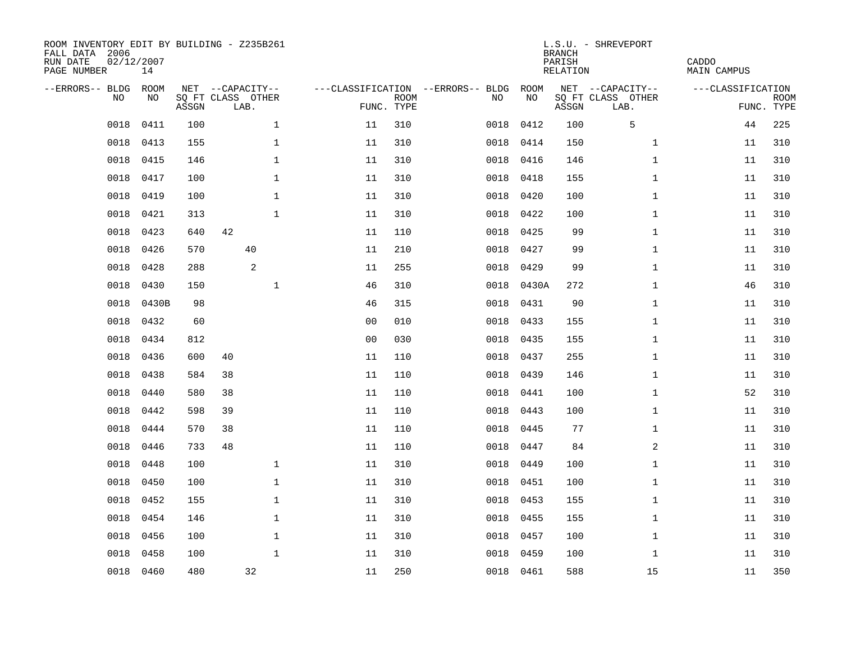| ROOM INVENTORY EDIT BY BUILDING - Z235B261<br>FALL DATA 2006<br>RUN DATE<br>PAGE NUMBER | 02/12/2007<br>14 |       |                           |              |                |             |                                   |           |       | <b>BRANCH</b><br>PARISH<br><b>RELATION</b> | L.S.U. - SHREVEPORT       | CADDO<br><b>MAIN CAMPUS</b> |                           |
|-----------------------------------------------------------------------------------------|------------------|-------|---------------------------|--------------|----------------|-------------|-----------------------------------|-----------|-------|--------------------------------------------|---------------------------|-----------------------------|---------------------------|
| --ERRORS-- BLDG ROOM                                                                    |                  |       | NET --CAPACITY--          |              |                |             | ---CLASSIFICATION --ERRORS-- BLDG |           | ROOM  |                                            | NET --CAPACITY--          | ---CLASSIFICATION           |                           |
| NO                                                                                      | NO               | ASSGN | SQ FT CLASS OTHER<br>LAB. |              | FUNC. TYPE     | <b>ROOM</b> |                                   | NO        | NO    | ASSGN                                      | SQ FT CLASS OTHER<br>LAB. |                             | <b>ROOM</b><br>FUNC. TYPE |
| 0018                                                                                    | 0411             | 100   |                           | $\mathbf 1$  | 11             | 310         |                                   | 0018      | 0412  | 100                                        | 5                         | 44                          | 225                       |
| 0018                                                                                    | 0413             | 155   |                           | $\mathbf 1$  | 11             | 310         |                                   | 0018      | 0414  | 150                                        | $\mathbf{1}$              | 11                          | 310                       |
| 0018                                                                                    | 0415             | 146   |                           | $\mathbf 1$  | 11             | 310         |                                   | 0018      | 0416  | 146                                        | $\mathbf{1}$              | 11                          | 310                       |
| 0018                                                                                    | 0417             | 100   |                           | $\mathbf 1$  | 11             | 310         |                                   | 0018      | 0418  | 155                                        | $\mathbf{1}$              | 11                          | 310                       |
| 0018                                                                                    | 0419             | 100   |                           | $\mathbf{1}$ | 11             | 310         |                                   | 0018      | 0420  | 100                                        | $\mathbf{1}$              | 11                          | 310                       |
| 0018                                                                                    | 0421             | 313   |                           | $\mathbf{1}$ | 11             | 310         |                                   | 0018 0422 |       | 100                                        | $\mathbf{1}$              | 11                          | 310                       |
| 0018                                                                                    | 0423             | 640   | 42                        |              | 11             | 110         |                                   | 0018      | 0425  | 99                                         | $\mathbf{1}$              | 11                          | 310                       |
| 0018                                                                                    | 0426             | 570   |                           | 40           | 11             | 210         |                                   | 0018 0427 |       | 99                                         | $\mathbf{1}$              | 11                          | 310                       |
| 0018                                                                                    | 0428             | 288   |                           | 2            | 11             | 255         |                                   | 0018      | 0429  | 99                                         | $\mathbf{1}$              | 11                          | 310                       |
| 0018                                                                                    | 0430             | 150   |                           | $\mathbf 1$  | 46             | 310         |                                   | 0018      | 0430A | 272                                        | $\mathbf{1}$              | 46                          | 310                       |
| 0018                                                                                    | 0430B            | 98    |                           |              | 46             | 315         |                                   | 0018      | 0431  | 90                                         | $\mathbf{1}$              | 11                          | 310                       |
| 0018                                                                                    | 0432             | 60    |                           |              | 0 <sub>0</sub> | 010         |                                   | 0018 0433 |       | 155                                        | $\mathbf{1}$              | 11                          | 310                       |
| 0018                                                                                    | 0434             | 812   |                           |              | 0 <sub>0</sub> | 030         |                                   | 0018      | 0435  | 155                                        | $\mathbf{1}$              | 11                          | 310                       |
| 0018                                                                                    | 0436             | 600   | 40                        |              | 11             | 110         |                                   | 0018      | 0437  | 255                                        | $\mathbf{1}$              | 11                          | 310                       |
| 0018                                                                                    | 0438             | 584   | 38                        |              | 11             | 110         |                                   | 0018      | 0439  | 146                                        | $\mathbf{1}$              | 11                          | 310                       |
| 0018                                                                                    | 0440             | 580   | 38                        |              | 11             | 110         |                                   | 0018      | 0441  | 100                                        | $\mathbf{1}$              | 52                          | 310                       |
| 0018                                                                                    | 0442             | 598   | 39                        |              | 11             | 110         |                                   | 0018      | 0443  | 100                                        | $\mathbf{1}$              | 11                          | 310                       |
| 0018                                                                                    | 0444             | 570   | 38                        |              | 11             | 110         |                                   | 0018      | 0445  | 77                                         | $\mathbf{1}$              | 11                          | 310                       |
| 0018                                                                                    | 0446             | 733   | 48                        |              | 11             | 110         |                                   | 0018 0447 |       | 84                                         | 2                         | 11                          | 310                       |
| 0018                                                                                    | 0448             | 100   |                           | $\mathbf 1$  | 11             | 310         |                                   | 0018      | 0449  | 100                                        | $\mathbf{1}$              | 11                          | 310                       |
| 0018                                                                                    | 0450             | 100   |                           | $\mathbf 1$  | 11             | 310         |                                   | 0018      | 0451  | 100                                        | $\mathbf{1}$              | 11                          | 310                       |
| 0018                                                                                    | 0452             | 155   |                           | $\mathbf 1$  | 11             | 310         |                                   | 0018      | 0453  | 155                                        | $\mathbf{1}$              | 11                          | 310                       |
| 0018                                                                                    | 0454             | 146   |                           | $\mathbf 1$  | 11             | 310         |                                   | 0018      | 0455  | 155                                        | $\mathbf{1}$              | 11                          | 310                       |
| 0018                                                                                    | 0456             | 100   |                           | $\mathbf{1}$ | 11             | 310         |                                   | 0018      | 0457  | 100                                        | $\mathbf{1}$              | 11                          | 310                       |
| 0018                                                                                    | 0458             | 100   |                           | $\mathbf{1}$ | 11             | 310         |                                   | 0018      | 0459  | 100                                        | $\mathbf{1}$              | 11                          | 310                       |
|                                                                                         | 0018 0460        | 480   |                           | 32           | 11             | 250         |                                   | 0018 0461 |       | 588                                        | 15                        | 11                          | 350                       |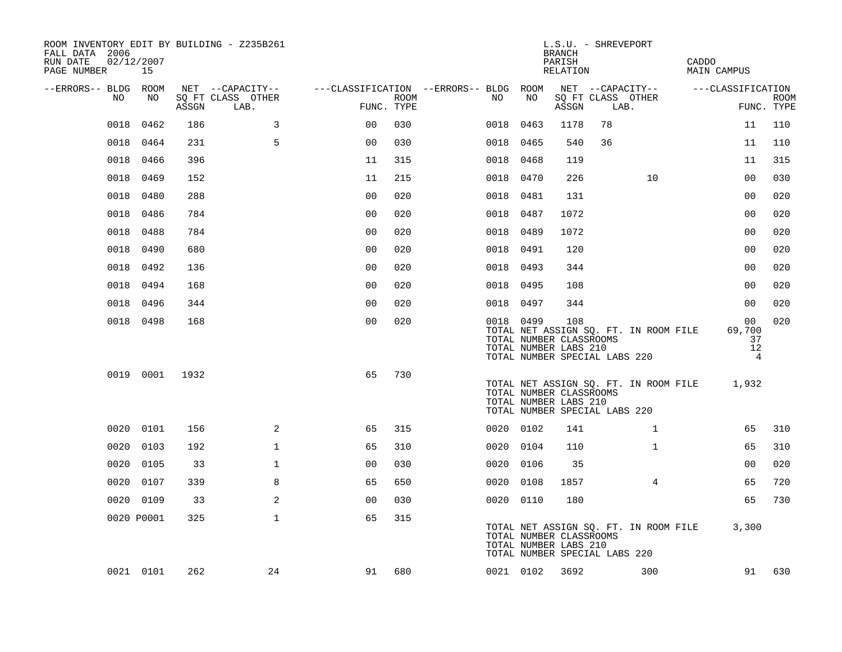| ROOM INVENTORY EDIT BY BUILDING - Z235B261<br>FALL DATA 2006<br>RUN DATE<br>PAGE NUMBER | 02/12/2007<br>15 |       |                           |                                        |      |      |           | <b>BRANCH</b><br>PARISH<br>RELATION                     | L.S.U. - SHREVEPORT           |                                       | CADDO<br><b>MAIN CAMPUS</b>           |                               |             |
|-----------------------------------------------------------------------------------------|------------------|-------|---------------------------|----------------------------------------|------|------|-----------|---------------------------------------------------------|-------------------------------|---------------------------------------|---------------------------------------|-------------------------------|-------------|
| --ERRORS-- BLDG ROOM                                                                    |                  |       | NET --CAPACITY--          | ---CLASSIFICATION --ERRORS-- BLDG ROOM |      |      |           |                                                         |                               | NET --CAPACITY--                      | ---CLASSIFICATION                     |                               |             |
| NO                                                                                      | NO               | ASSGN | SQ FT CLASS OTHER<br>LAB. | FUNC. TYPE                             | ROOM | NO   | NO        | ASSGN                                                   | LAB.                          | SQ FT CLASS OTHER                     |                                       | FUNC. TYPE                    | <b>ROOM</b> |
| 0018                                                                                    | 0462             | 186   | 3                         | 0 <sup>0</sup>                         | 030  | 0018 | 0463      | 1178                                                    | 78                            |                                       |                                       | 11                            | 110         |
|                                                                                         | 0018 0464        | 231   | 5                         | 0 <sub>0</sub>                         | 030  |      | 0018 0465 | 540                                                     | 36                            |                                       |                                       | 11                            | 110         |
|                                                                                         | 0018 0466        | 396   |                           | 11                                     | 315  |      | 0018 0468 | 119                                                     |                               |                                       |                                       | 11                            | 315         |
| 0018                                                                                    | 0469             | 152   |                           | 11                                     | 215  |      | 0018 0470 | 226                                                     |                               | 10                                    |                                       | 00                            | 030         |
| 0018                                                                                    | 0480             | 288   |                           | 0 <sub>0</sub>                         | 020  |      | 0018 0481 | 131                                                     |                               |                                       |                                       | 0 <sub>0</sub>                | 020         |
| 0018                                                                                    | 0486             | 784   |                           | 0 <sub>0</sub>                         | 020  |      | 0018 0487 | 1072                                                    |                               |                                       |                                       | 00                            | 020         |
| 0018                                                                                    | 0488             | 784   |                           | 0 <sub>0</sub>                         | 020  |      | 0018 0489 | 1072                                                    |                               |                                       |                                       | 0 <sub>0</sub>                | 020         |
| 0018                                                                                    | 0490             | 680   |                           | 0 <sub>0</sub>                         | 020  |      | 0018 0491 | 120                                                     |                               |                                       |                                       | 0 <sub>0</sub>                | 020         |
| 0018                                                                                    | 0492             | 136   |                           | 0 <sub>0</sub>                         | 020  |      | 0018 0493 | 344                                                     |                               |                                       |                                       | 0 <sub>0</sub>                | 020         |
|                                                                                         | 0018 0494        | 168   |                           | 0 <sub>0</sub>                         | 020  |      | 0018 0495 | 108                                                     |                               |                                       |                                       | 0 <sub>0</sub>                | 020         |
|                                                                                         | 0018 0496        | 344   |                           | 0 <sub>0</sub>                         | 020  |      | 0018 0497 | 344                                                     |                               |                                       |                                       | 00                            | 020         |
|                                                                                         | 0018 0498        | 168   |                           | 0 <sub>0</sub>                         | 020  |      | 0018 0499 | 108<br>TOTAL NUMBER CLASSROOMS<br>TOTAL NUMBER LABS 210 | TOTAL NUMBER SPECIAL LABS 220 | TOTAL NET ASSIGN SQ. FT. IN ROOM FILE |                                       | 00<br>69,700<br>37<br>12<br>4 | 020         |
|                                                                                         | 0019 0001        | 1932  |                           | 65                                     | 730  |      |           | TOTAL NUMBER CLASSROOMS<br>TOTAL NUMBER LABS 210        | TOTAL NUMBER SPECIAL LABS 220 |                                       | TOTAL NET ASSIGN SQ. FT. IN ROOM FILE | 1,932                         |             |
| 0020                                                                                    | 0101             | 156   | 2                         | 65                                     | 315  |      | 0020 0102 | 141                                                     |                               | $\mathbf{1}$                          |                                       | 65                            | 310         |
| 0020                                                                                    | 0103             | 192   | $\mathbf{1}$              | 65                                     | 310  |      | 0020 0104 | 110                                                     |                               | $\mathbf{1}$                          |                                       | 65                            | 310         |
| 0020                                                                                    | 0105             | 33    | $\mathbf 1$               | 0 <sub>0</sub>                         | 030  |      | 0020 0106 | 35                                                      |                               |                                       |                                       | 0 <sub>0</sub>                | 020         |
| 0020                                                                                    | 0107             | 339   | 8                         | 65                                     | 650  |      | 0020 0108 | 1857                                                    |                               | 4                                     |                                       | 65                            | 720         |
|                                                                                         | 0020 0109        | 33    | 2                         | 00                                     | 030  |      | 0020 0110 | 180                                                     |                               |                                       |                                       | 65                            | 730         |
|                                                                                         | 0020 P0001       | 325   | $\mathbf{1}$              | 65                                     | 315  |      |           | TOTAL NUMBER CLASSROOMS<br>TOTAL NUMBER LABS 210        | TOTAL NUMBER SPECIAL LABS 220 |                                       | TOTAL NET ASSIGN SQ. FT. IN ROOM FILE | 3,300                         |             |
|                                                                                         | 0021 0101        | 262   | 24                        | 91                                     | 680  |      | 0021 0102 | 3692                                                    |                               | 300                                   |                                       | 91                            | 630         |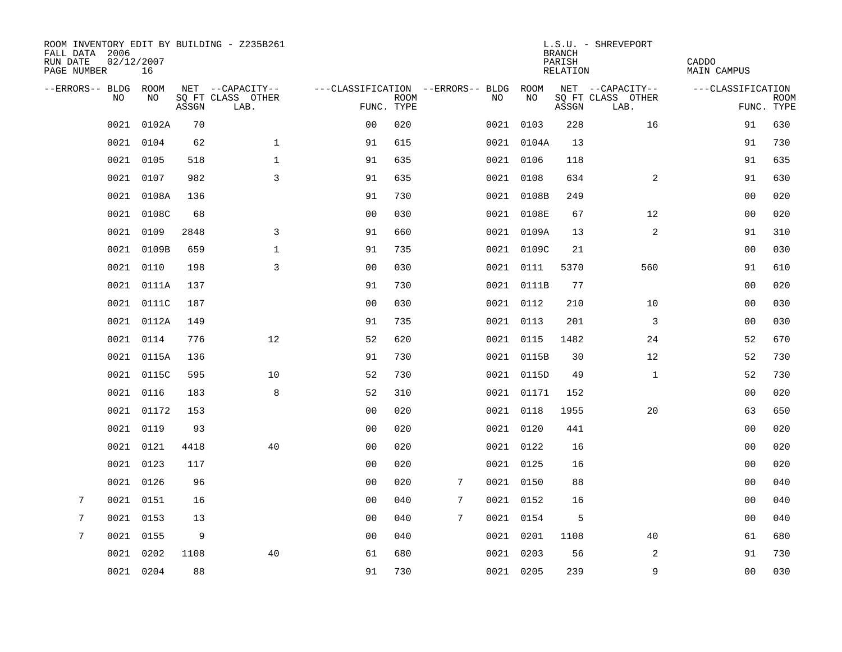| ROOM INVENTORY EDIT BY BUILDING - Z235B261<br>FALL DATA 2006<br>02/12/2007<br>RUN DATE<br>PAGE NUMBER | 16         |       |                           |                                        |             |   |           |            | <b>BRANCH</b><br>PARISH<br>RELATION | L.S.U. - SHREVEPORT       | CADDO<br>MAIN CAMPUS |             |
|-------------------------------------------------------------------------------------------------------|------------|-------|---------------------------|----------------------------------------|-------------|---|-----------|------------|-------------------------------------|---------------------------|----------------------|-------------|
| --ERRORS-- BLDG ROOM                                                                                  |            |       | NET --CAPACITY--          | ---CLASSIFICATION --ERRORS-- BLDG ROOM |             |   |           |            |                                     | NET --CAPACITY--          | ---CLASSIFICATION    |             |
| NO.                                                                                                   | NO.        | ASSGN | SQ FT CLASS OTHER<br>LAB. | FUNC. TYPE                             | <b>ROOM</b> |   | NO.       | NO         | ASSGN                               | SQ FT CLASS OTHER<br>LAB. | FUNC. TYPE           | <b>ROOM</b> |
| 0021                                                                                                  | 0102A      | 70    |                           | 0 <sub>0</sub>                         | 020         |   |           | 0021 0103  | 228                                 | 16                        | 91                   | 630         |
| 0021                                                                                                  | 0104       | 62    | $\mathbf{1}$              | 91                                     | 615         |   |           | 0021 0104A | 13                                  |                           | 91                   | 730         |
|                                                                                                       | 0021 0105  | 518   | $\mathbf 1$               | 91                                     | 635         |   | 0021 0106 |            | 118                                 |                           | 91                   | 635         |
|                                                                                                       | 0021 0107  | 982   | 3                         | 91                                     | 635         |   |           | 0021 0108  | 634                                 | 2                         | 91                   | 630         |
| 0021                                                                                                  | 0108A      | 136   |                           | 91                                     | 730         |   |           | 0021 0108B | 249                                 |                           | 0 <sub>0</sub>       | 020         |
| 0021                                                                                                  | 0108C      | 68    |                           | 0 <sub>0</sub>                         | 030         |   |           | 0021 0108E | 67                                  | 12                        | 00                   | 020         |
| 0021                                                                                                  | 0109       | 2848  | 3                         | 91                                     | 660         |   |           | 0021 0109A | 13                                  | 2                         | 91                   | 310         |
| 0021                                                                                                  | 0109B      | 659   | $\mathbf 1$               | 91                                     | 735         |   |           | 0021 0109C | 21                                  |                           | 00                   | 030         |
| 0021                                                                                                  | 0110       | 198   | 3                         | 00                                     | 030         |   |           | 0021 0111  | 5370                                | 560                       | 91                   | 610         |
|                                                                                                       | 0021 0111A | 137   |                           | 91                                     | 730         |   |           | 0021 0111B | 77                                  |                           | 0 <sub>0</sub>       | 020         |
|                                                                                                       | 0021 0111C | 187   |                           | 0 <sub>0</sub>                         | 030         |   | 0021 0112 |            | 210                                 | 10                        | 0 <sub>0</sub>       | 030         |
|                                                                                                       | 0021 0112A | 149   |                           | 91                                     | 735         |   |           | 0021 0113  | 201                                 | $\overline{3}$            | 00                   | 030         |
| 0021                                                                                                  | 0114       | 776   | 12                        | 52                                     | 620         |   | 0021 0115 |            | 1482                                | 24                        | 52                   | 670         |
|                                                                                                       | 0021 0115A | 136   |                           | 91                                     | 730         |   |           | 0021 0115B | 30                                  | 12                        | 52                   | 730         |
| 0021                                                                                                  | 0115C      | 595   | 10                        | 52                                     | 730         |   |           | 0021 0115D | 49                                  | $\mathbf{1}$              | 52                   | 730         |
|                                                                                                       | 0021 0116  | 183   | 8                         | 52                                     | 310         |   |           | 0021 01171 | 152                                 |                           | 0 <sub>0</sub>       | 020         |
| 0021                                                                                                  | 01172      | 153   |                           | 0 <sub>0</sub>                         | 020         |   |           | 0021 0118  | 1955                                | 20                        | 63                   | 650         |
| 0021                                                                                                  | 0119       | 93    |                           | 0 <sub>0</sub>                         | 020         |   |           | 0021 0120  | 441                                 |                           | 00                   | 020         |
| 0021                                                                                                  | 0121       | 4418  | 40                        | 0 <sub>0</sub>                         | 020         |   | 0021 0122 |            | 16                                  |                           | 00                   | 020         |
|                                                                                                       | 0021 0123  | 117   |                           | 0 <sub>0</sub>                         | 020         |   | 0021 0125 |            | 16                                  |                           | 0 <sub>0</sub>       | 020         |
| 0021                                                                                                  | 0126       | 96    |                           | 0 <sub>0</sub>                         | 020         | 7 | 0021 0150 |            | 88                                  |                           | 0 <sub>0</sub>       | 040         |
| 7<br>0021                                                                                             | 0151       | 16    |                           | 00                                     | 040         | 7 | 0021 0152 |            | 16                                  |                           | 00                   | 040         |
| 7                                                                                                     | 0021 0153  | 13    |                           | 0 <sub>0</sub>                         | 040         | 7 | 0021 0154 |            | 5                                   |                           | 0 <sub>0</sub>       | 040         |
| 7                                                                                                     | 0021 0155  | 9     |                           | 00                                     | 040         |   | 0021 0201 |            | 1108                                | 40                        | 61                   | 680         |
| 0021                                                                                                  | 0202       | 1108  | 40                        | 61                                     | 680         |   |           | 0021 0203  | 56                                  | 2                         | 91                   | 730         |
|                                                                                                       | 0021 0204  | 88    |                           | 91                                     | 730         |   | 0021 0205 |            | 239                                 | 9                         | 0 <sub>0</sub>       | 030         |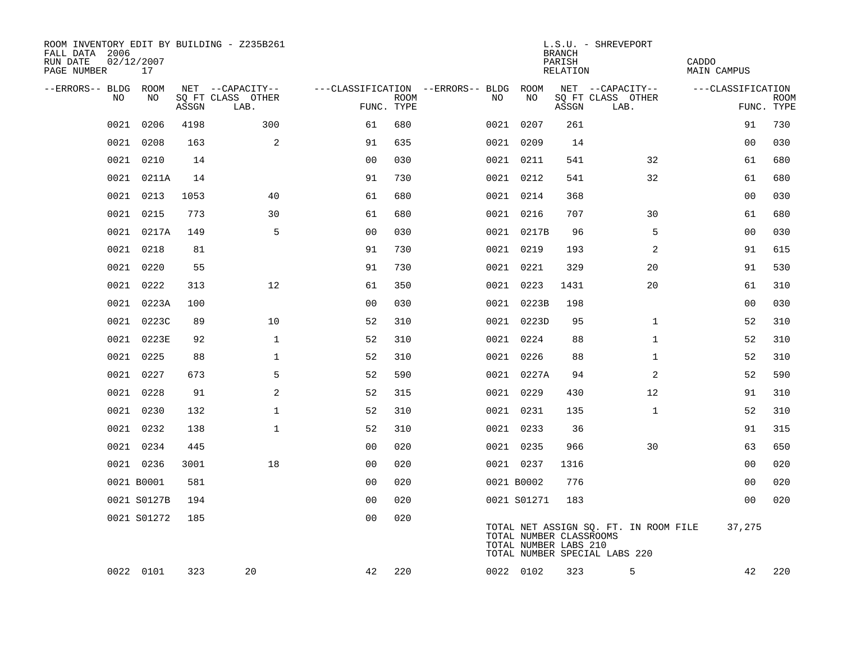| ROOM INVENTORY EDIT BY BUILDING - Z235B261<br>FALL DATA 2006<br>RUN DATE<br>PAGE NUMBER | 02/12/2007<br>17 |       |                                       |                                        |             |            |                                                  | <b>BRANCH</b><br>PARISH<br>RELATION | L.S.U. - SHREVEPORT                                                    | CADDO<br><b>MAIN CAMPUS</b> |             |
|-----------------------------------------------------------------------------------------|------------------|-------|---------------------------------------|----------------------------------------|-------------|------------|--------------------------------------------------|-------------------------------------|------------------------------------------------------------------------|-----------------------------|-------------|
| --ERRORS-- BLDG<br>NO                                                                   | ROOM<br>NO       |       | NET --CAPACITY--<br>SQ FT CLASS OTHER | ---CLASSIFICATION --ERRORS-- BLDG ROOM | <b>ROOM</b> | NO         | NO                                               |                                     | NET --CAPACITY--<br>SQ FT CLASS OTHER                                  | ---CLASSIFICATION           | <b>ROOM</b> |
|                                                                                         |                  | ASSGN | LAB.                                  | FUNC. TYPE                             |             |            |                                                  | ASSGN                               | LAB.                                                                   |                             | FUNC. TYPE  |
| 0021                                                                                    | 0206             | 4198  | 300                                   | 61                                     | 680         | 0021 0207  |                                                  | 261                                 |                                                                        | 91                          | 730         |
| 0021                                                                                    | 0208             | 163   | 2                                     | 91                                     | 635         | 0021 0209  |                                                  | 14                                  |                                                                        | 00                          | 030         |
| 0021                                                                                    | 0210             | 14    |                                       | 0 <sub>0</sub>                         | 030         | 0021 0211  |                                                  | 541                                 | 32                                                                     | 61                          | 680         |
|                                                                                         | 0021 0211A       | 14    |                                       | 91                                     | 730         | 0021 0212  |                                                  | 541                                 | 32                                                                     | 61                          | 680         |
| 0021                                                                                    | 0213             | 1053  | 40                                    | 61                                     | 680         | 0021 0214  |                                                  | 368                                 |                                                                        | 00                          | 030         |
|                                                                                         | 0021 0215        | 773   | 30                                    | 61                                     | 680         |            | 0021 0216                                        | 707                                 | 30                                                                     | 61                          | 680         |
|                                                                                         | 0021 0217A       | 149   | 5                                     | 0 <sub>0</sub>                         | 030         |            | 0021 0217B                                       | 96                                  | 5                                                                      | 0 <sub>0</sub>              | 030         |
|                                                                                         | 0021 0218        | 81    |                                       | 91                                     | 730         |            | 0021 0219                                        | 193                                 | 2                                                                      | 91                          | 615         |
| 0021                                                                                    | 0220             | 55    |                                       | 91                                     | 730         | 0021 0221  |                                                  | 329                                 | 20                                                                     | 91                          | 530         |
| 0021                                                                                    | 0222             | 313   | 12                                    | 61                                     | 350         |            | 0021 0223                                        | 1431                                | 20                                                                     | 61                          | 310         |
| 0021                                                                                    | 0223A            | 100   |                                       | 0 <sub>0</sub>                         | 030         |            | 0021 0223B                                       | 198                                 |                                                                        | 0 <sub>0</sub>              | 030         |
|                                                                                         | 0021 0223C       | 89    | 10                                    | 52                                     | 310         |            | 0021 0223D                                       | 95                                  | $\mathbf{1}$                                                           | 52                          | 310         |
|                                                                                         | 0021 0223E       | 92    | $\mathbf 1$                           | 52                                     | 310         | 0021 0224  |                                                  | 88                                  | $\mathbf{1}$                                                           | 52                          | 310         |
|                                                                                         | 0021 0225        | 88    | $\mathbf 1$                           | 52                                     | 310         |            | 0021 0226                                        | 88                                  | $\mathbf{1}$                                                           | 52                          | 310         |
|                                                                                         | 0021 0227        | 673   | 5                                     | 52                                     | 590         |            | 0021 0227A                                       | 94                                  | 2                                                                      | 52                          | 590         |
|                                                                                         | 0021 0228        | 91    | 2                                     | 52                                     | 315         | 0021 0229  |                                                  | 430                                 | 12                                                                     | 91                          | 310         |
|                                                                                         | 0021 0230        | 132   | $\mathbf{1}$                          | 52                                     | 310         |            | 0021 0231                                        | 135                                 | $\mathbf{1}$                                                           | 52                          | 310         |
| 0021                                                                                    | 0232             | 138   | $\mathbf 1$                           | 52                                     | 310         | 0021 0233  |                                                  | 36                                  |                                                                        | 91                          | 315         |
|                                                                                         | 0021 0234        | 445   |                                       | 0 <sub>0</sub>                         | 020         | 0021 0235  |                                                  | 966                                 | 30                                                                     | 63                          | 650         |
|                                                                                         | 0021 0236        | 3001  | 18                                    | 0 <sub>0</sub>                         | 020         | 0021 0237  |                                                  | 1316                                |                                                                        | 00                          | 020         |
|                                                                                         | 0021 B0001       | 581   |                                       | 0 <sub>0</sub>                         | 020         | 0021 B0002 |                                                  | 776                                 |                                                                        | 0 <sub>0</sub>              | 020         |
|                                                                                         | 0021 S0127B      | 194   |                                       | 0 <sub>0</sub>                         | 020         |            | 0021 S01271                                      | 183                                 |                                                                        | 0 <sub>0</sub>              | 020         |
|                                                                                         | 0021 S01272      | 185   |                                       | 0 <sub>0</sub>                         | 020         |            | TOTAL NUMBER CLASSROOMS<br>TOTAL NUMBER LABS 210 |                                     | TOTAL NET ASSIGN SQ. FT. IN ROOM FILE<br>TOTAL NUMBER SPECIAL LABS 220 | 37,275                      |             |
|                                                                                         | 0022 0101        | 323   | 20                                    | 42                                     | 220         |            | 0022 0102                                        | 323                                 | 5                                                                      | 42                          | 220         |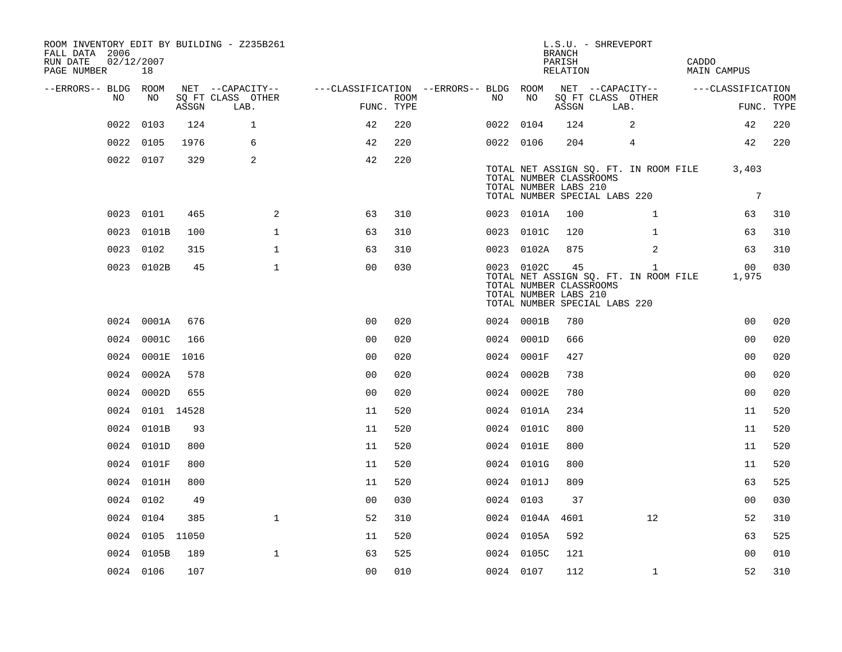| ROOM INVENTORY EDIT BY BUILDING - Z235B261<br>FALL DATA 2006<br>RUN DATE<br>PAGE NUMBER | 02/12/2007<br>18 |       |                           |                                        |      |           |            | <b>BRANCH</b><br>PARISH<br>RELATION                    | L.S.U. - SHREVEPORT           |                                                       | CADDO | <b>MAIN CAMPUS</b>       |                           |
|-----------------------------------------------------------------------------------------|------------------|-------|---------------------------|----------------------------------------|------|-----------|------------|--------------------------------------------------------|-------------------------------|-------------------------------------------------------|-------|--------------------------|---------------------------|
| --ERRORS-- BLDG ROOM                                                                    |                  |       | NET --CAPACITY--          | ---CLASSIFICATION --ERRORS-- BLDG ROOM |      |           |            |                                                        | NET --CAPACITY--              |                                                       |       | ---CLASSIFICATION        |                           |
| NO                                                                                      | NO               | ASSGN | SQ FT CLASS OTHER<br>LAB. | FUNC. TYPE                             | ROOM | NO        | NO         | ASSGN                                                  | SQ FT CLASS OTHER<br>LAB.     |                                                       |       |                          | <b>ROOM</b><br>FUNC. TYPE |
| 0022                                                                                    | 0103             | 124   | $\mathbf{1}$              | 42                                     | 220  | 0022 0104 |            | 124                                                    |                               | 2                                                     |       | 42                       | 220                       |
| 0022                                                                                    | 0105             | 1976  | 6                         | 42                                     | 220  | 0022 0106 |            | 204                                                    |                               | 4                                                     |       | 42                       | 220                       |
|                                                                                         | 0022 0107        | 329   | 2                         | 42                                     | 220  |           |            | TOTAL NUMBER CLASSROOMS<br>TOTAL NUMBER LABS 210       | TOTAL NUMBER SPECIAL LABS 220 | TOTAL NET ASSIGN SQ. FT. IN ROOM FILE                 |       | 3,403<br>$7\phantom{.0}$ |                           |
|                                                                                         | 0023 0101        | 465   | 2                         | 63                                     | 310  |           | 0023 0101A | 100                                                    |                               | $\mathbf{1}$                                          |       | 63                       | 310                       |
|                                                                                         | 0023 0101B       | 100   | $\mathbf{1}$              | 63                                     | 310  |           | 0023 0101C | 120                                                    |                               | $\mathbf{1}$                                          |       | 63                       | 310                       |
|                                                                                         | 0023 0102        | 315   | $\mathbf 1$               | 63                                     | 310  |           | 0023 0102A | 875                                                    |                               | 2                                                     |       | 63                       | 310                       |
|                                                                                         | 0023 0102B       | 45    | $\mathbf 1$               | 0 <sub>0</sub>                         | 030  |           | 0023 0102C | 45<br>TOTAL NUMBER CLASSROOMS<br>TOTAL NUMBER LABS 210 | TOTAL NUMBER SPECIAL LABS 220 | $\mathbf{1}$<br>TOTAL NET ASSIGN SQ. FT. IN ROOM FILE |       | 00<br>1,975              | 030                       |
|                                                                                         | 0024 0001A       | 676   |                           | 0 <sub>0</sub>                         | 020  |           | 0024 0001B | 780                                                    |                               |                                                       |       | 0 <sub>0</sub>           | 020                       |
|                                                                                         | 0024 0001C       | 166   |                           | 0 <sub>0</sub>                         | 020  |           | 0024 0001D | 666                                                    |                               |                                                       |       | 0 <sub>0</sub>           | 020                       |
|                                                                                         | 0024 0001E       | 1016  |                           | 0 <sub>0</sub>                         | 020  |           | 0024 0001F | 427                                                    |                               |                                                       |       | 0 <sub>0</sub>           | 020                       |
|                                                                                         | 0024 0002A       | 578   |                           | 0 <sub>0</sub>                         | 020  |           | 0024 0002B | 738                                                    |                               |                                                       |       | 0 <sub>0</sub>           | 020                       |
|                                                                                         | 0024 0002D       | 655   |                           | 0 <sub>0</sub>                         | 020  |           | 0024 0002E | 780                                                    |                               |                                                       |       | 0 <sub>0</sub>           | 020                       |
|                                                                                         | 0024 0101 14528  |       |                           | 11                                     | 520  |           | 0024 0101A | 234                                                    |                               |                                                       |       | 11                       | 520                       |
|                                                                                         | 0024 0101B       | 93    |                           | 11                                     | 520  |           | 0024 0101C | 800                                                    |                               |                                                       |       | 11                       | 520                       |
|                                                                                         | 0024 0101D       | 800   |                           | 11                                     | 520  |           | 0024 0101E | 800                                                    |                               |                                                       |       | 11                       | 520                       |
|                                                                                         | 0024 0101F       | 800   |                           | 11                                     | 520  |           | 0024 0101G | 800                                                    |                               |                                                       |       | 11                       | 520                       |
|                                                                                         | 0024 0101H       | 800   |                           | 11                                     | 520  |           | 0024 0101J | 809                                                    |                               |                                                       |       | 63                       | 525                       |
|                                                                                         | 0024 0102        | 49    |                           | 0 <sub>0</sub>                         | 030  | 0024 0103 |            | 37                                                     |                               |                                                       |       | 0 <sub>0</sub>           | 030                       |
|                                                                                         | 0024 0104        | 385   | $\mathbf{1}$              | 52                                     | 310  |           | 0024 0104A | 4601                                                   |                               | 12                                                    |       | 52                       | 310                       |
|                                                                                         | 0024 0105 11050  |       |                           | 11                                     | 520  |           | 0024 0105A | 592                                                    |                               |                                                       |       | 63                       | 525                       |
|                                                                                         | 0024 0105B       | 189   | $\mathbf 1$               | 63                                     | 525  |           | 0024 0105C | 121                                                    |                               |                                                       |       | 00                       | 010                       |
|                                                                                         | 0024 0106        | 107   |                           | 0 <sub>0</sub>                         | 010  | 0024 0107 |            | 112                                                    |                               | $\mathbf{1}$                                          |       | 52                       | 310                       |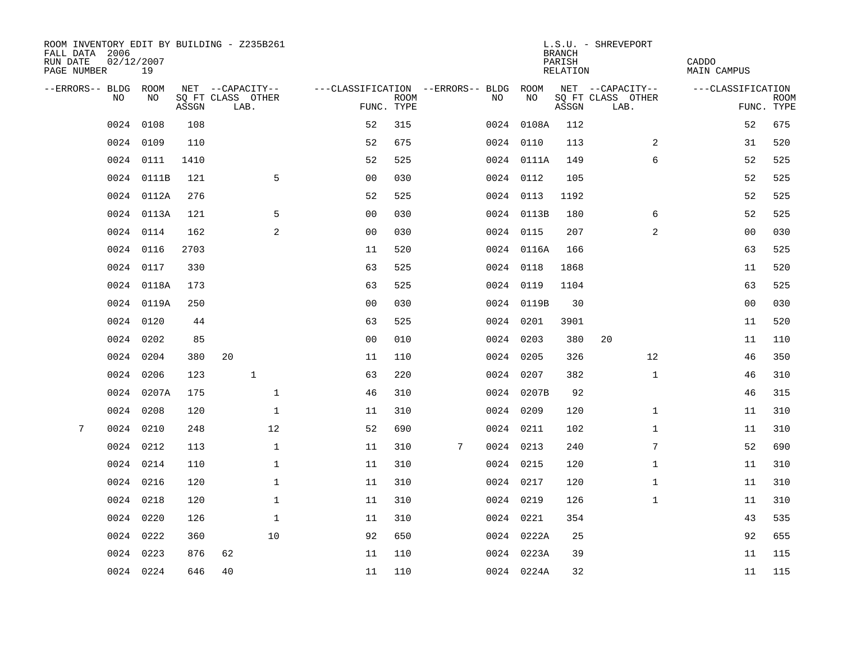| ROOM INVENTORY EDIT BY BUILDING - Z235B261<br>FALL DATA 2006<br>RUN DATE<br>PAGE NUMBER | 02/12/2007<br>19 |       |                           |                                   |             |   |           |            | <b>BRANCH</b><br>PARISH<br>RELATION | L.S.U. - SHREVEPORT       | CADDO<br><b>MAIN CAMPUS</b> |                           |
|-----------------------------------------------------------------------------------------|------------------|-------|---------------------------|-----------------------------------|-------------|---|-----------|------------|-------------------------------------|---------------------------|-----------------------------|---------------------------|
| --ERRORS-- BLDG                                                                         | ROOM             |       | NET --CAPACITY--          | ---CLASSIFICATION --ERRORS-- BLDG |             |   |           | ROOM       |                                     | NET --CAPACITY--          | ---CLASSIFICATION           |                           |
| NO                                                                                      | NO               | ASSGN | SQ FT CLASS OTHER<br>LAB. | FUNC. TYPE                        | <b>ROOM</b> |   | NO        | NO         | ASSGN                               | SQ FT CLASS OTHER<br>LAB. |                             | <b>ROOM</b><br>FUNC. TYPE |
| 0024                                                                                    | 0108             | 108   |                           | 52                                | 315         |   |           | 0024 0108A | 112                                 |                           | 52                          | 675                       |
| 0024                                                                                    | 0109             | 110   |                           | 52                                | 675         |   | 0024 0110 |            | 113                                 | 2                         | 31                          | 520                       |
|                                                                                         | 0024 0111        | 1410  |                           | 52                                | 525         |   |           | 0024 0111A | 149                                 | 6                         | 52                          | 525                       |
|                                                                                         | 0024 0111B       | 121   | 5                         | 0 <sub>0</sub>                    | 030         |   |           | 0024 0112  | 105                                 |                           | 52                          | 525                       |
|                                                                                         | 0024 0112A       | 276   |                           | 52                                | 525         |   | 0024 0113 |            | 1192                                |                           | 52                          | 525                       |
|                                                                                         | 0024 0113A       | 121   | 5                         | 0 <sub>0</sub>                    | 030         |   |           | 0024 0113B | 180                                 | 6                         | 52                          | 525                       |
|                                                                                         | 0024 0114        | 162   | 2                         | 0 <sub>0</sub>                    | 030         |   | 0024 0115 |            | 207                                 | 2                         | 00                          | 030                       |
| 0024                                                                                    | 0116             | 2703  |                           | 11                                | 520         |   |           | 0024 0116A | 166                                 |                           | 63                          | 525                       |
| 0024                                                                                    | 0117             | 330   |                           | 63                                | 525         |   |           | 0024 0118  | 1868                                |                           | 11                          | 520                       |
|                                                                                         | 0024 0118A       | 173   |                           | 63                                | 525         |   |           | 0024 0119  | 1104                                |                           | 63                          | 525                       |
|                                                                                         | 0024 0119A       | 250   |                           | 0 <sub>0</sub>                    | 030         |   |           | 0024 0119B | 30                                  |                           | 0 <sub>0</sub>              | 030                       |
|                                                                                         | 0024 0120        | 44    |                           | 63                                | 525         |   |           | 0024 0201  | 3901                                |                           | 11                          | 520                       |
| 0024                                                                                    | 0202             | 85    |                           | 0 <sub>0</sub>                    | 010         |   | 0024 0203 |            | 380                                 | 20                        | 11                          | 110                       |
| 0024                                                                                    | 0204             | 380   | 20                        | 11                                | 110         |   |           | 0024 0205  | 326                                 | 12                        | 46                          | 350                       |
| 0024                                                                                    | 0206             | 123   | $\mathbf{1}$              | 63                                | 220         |   | 0024 0207 |            | 382                                 | $\mathbf{1}$              | 46                          | 310                       |
|                                                                                         | 0024 0207A       | 175   | $\mathbf 1$               | 46                                | 310         |   |           | 0024 0207B | 92                                  |                           | 46                          | 315                       |
| 0024                                                                                    | 0208             | 120   | $\mathbf{1}$              | 11                                | 310         |   | 0024 0209 |            | 120                                 | $\mathbf{1}$              | 11                          | 310                       |
| 7<br>0024                                                                               | 0210             | 248   | 12                        | 52                                | 690         |   | 0024 0211 |            | 102                                 | $\mathbf{1}$              | 11                          | 310                       |
|                                                                                         | 0024 0212        | 113   | $\mathbf 1$               | 11                                | 310         | 7 | 0024 0213 |            | 240                                 | 7                         | 52                          | 690                       |
|                                                                                         | 0024 0214        | 110   | $\mathbf 1$               | 11                                | 310         |   | 0024 0215 |            | 120                                 | $\mathbf{1}$              | 11                          | 310                       |
|                                                                                         | 0024 0216        | 120   | $\mathbf 1$               | 11                                | 310         |   |           | 0024 0217  | 120                                 | $\mathbf{1}$              | 11                          | 310                       |
| 0024                                                                                    | 0218             | 120   | $\mathbf 1$               | 11                                | 310         |   | 0024 0219 |            | 126                                 | $\mathbf{1}$              | 11                          | 310                       |
| 0024                                                                                    | 0220             | 126   | $\mathbf{1}$              | 11                                | 310         |   | 0024 0221 |            | 354                                 |                           | 43                          | 535                       |
| 0024                                                                                    | 0222             | 360   | 10                        | 92                                | 650         |   |           | 0024 0222A | 25                                  |                           | 92                          | 655                       |
| 0024                                                                                    | 0223             | 876   | 62                        | 11                                | 110         |   |           | 0024 0223A | 39                                  |                           | 11                          | 115                       |
|                                                                                         | 0024 0224        | 646   | 40                        | 11                                | 110         |   |           | 0024 0224A | 32                                  |                           | 11                          | 115                       |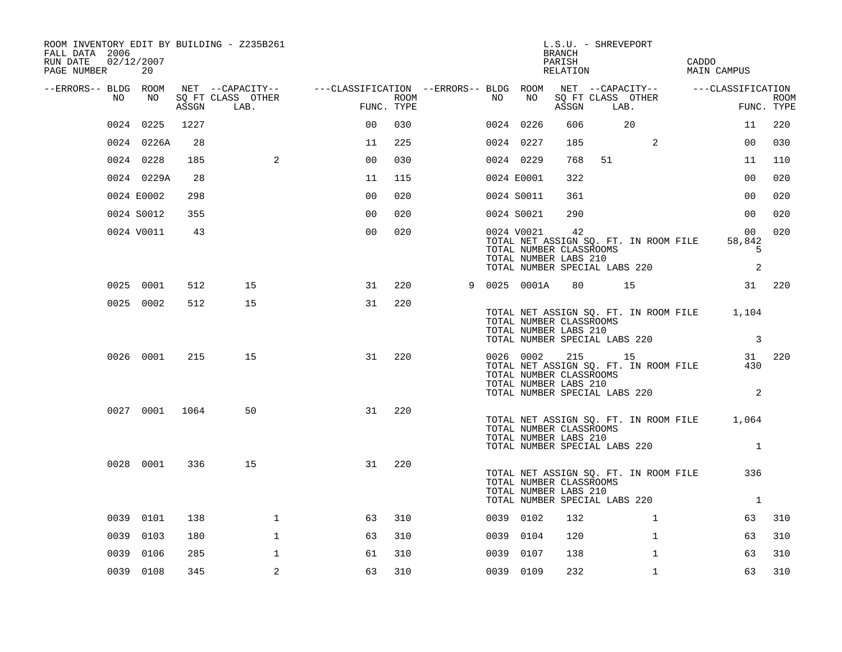| ROOM INVENTORY EDIT BY BUILDING - Z235B261<br>FALL DATA 2006<br>RUN DATE<br>PAGE NUMBER | 02/12/2007<br>20 |       |                           |                                                                                                |      |    |                                                                                   | L.S.U. - SHREVEPORT<br>BRANCH<br>PARISH<br>RELATION |      |                                                                        | CADDO | MAIN CAMPUS                                                             |                           |
|-----------------------------------------------------------------------------------------|------------------|-------|---------------------------|------------------------------------------------------------------------------------------------|------|----|-----------------------------------------------------------------------------------|-----------------------------------------------------|------|------------------------------------------------------------------------|-------|-------------------------------------------------------------------------|---------------------------|
| --ERRORS-- BLDG ROOM<br>NO                                                              | NO               |       |                           | NET --CAPACITY-- - ---CLASSIFICATION --ERRORS-- BLDG ROOM NET --CAPACITY-- - ---CLASSIFICATION | ROOM | NO | NO                                                                                |                                                     |      | SQ FT CLASS OTHER                                                      |       |                                                                         |                           |
|                                                                                         |                  | ASSGN | SQ FT CLASS OTHER<br>LAB. | FUNC. TYPE                                                                                     |      |    |                                                                                   | ASSGN                                               | LAB. |                                                                        |       |                                                                         | <b>ROOM</b><br>FUNC. TYPE |
|                                                                                         | 0024 0225        | 1227  |                           | 00                                                                                             | 030  |    | 0024 0226                                                                         | 606                                                 |      | 20                                                                     |       | 11                                                                      | 220                       |
|                                                                                         | 0024 0226A       | 28    |                           | 11                                                                                             | 225  |    | 0024 0227                                                                         | 185                                                 |      | 2                                                                      |       | 0 <sub>0</sub>                                                          | 030                       |
|                                                                                         | 0024 0228        | 185   | 2                         | 0 <sub>0</sub>                                                                                 | 030  |    | 0024 0229                                                                         | 768                                                 | 51   |                                                                        |       | 11                                                                      | 110                       |
|                                                                                         | 0024 0229A       | 28    |                           | 11                                                                                             | 115  |    | 0024 E0001                                                                        | 322                                                 |      |                                                                        |       | 0 <sub>0</sub>                                                          | 020                       |
|                                                                                         | 0024 E0002       | 298   |                           | 0 <sub>0</sub>                                                                                 | 020  |    | 0024 S0011                                                                        | 361                                                 |      |                                                                        |       | 0 <sub>0</sub>                                                          | 020                       |
|                                                                                         | 0024 S0012       | 355   |                           | 0 <sub>0</sub>                                                                                 | 020  |    | 0024 S0021                                                                        | 290                                                 |      |                                                                        |       | 00 <sub>o</sub>                                                         | 020                       |
|                                                                                         | 0024 V0011       | 43    |                           | 0 <sub>0</sub>                                                                                 | 020  |    | 0024 V0021<br>TOTAL NUMBER CLASSROOMS<br>TOTAL NUMBER LABS 210                    | 42                                                  |      | TOTAL NET ASSIGN SQ. FT. IN ROOM FILE<br>TOTAL NUMBER SPECIAL LABS 220 |       | 0 <sub>0</sub><br>58,842<br>5<br>2                                      | 020                       |
|                                                                                         | 0025 0001        | 512   | 15                        | 31                                                                                             | 220  |    | 9 0025 0001A                                                                      |                                                     |      | 80 15                                                                  |       |                                                                         | 31 220                    |
|                                                                                         | 0025 0002        | 512   | 15                        | 31                                                                                             | 220  |    | TOTAL NUMBER CLASSROOMS<br>TOTAL NUMBER LABS 210<br>TOTAL NUMBER SPECIAL LABS 220 |                                                     |      |                                                                        |       | TOTAL NET ASSIGN SQ. FT. IN ROOM FILE 1,104<br>$\overline{\phantom{a}}$ |                           |
|                                                                                         | 0026 0001        | 215   | 15                        | 31                                                                                             | 220  |    | TOTAL NUMBER CLASSROOMS<br>TOTAL NUMBER LABS 210<br>TOTAL NUMBER SPECIAL LABS 220 |                                                     |      | 0026 0002 215 15<br>TOTAL NET ASSIGN SQ. FT. IN ROOM FILE              |       | 430<br>2                                                                | 31 220                    |
|                                                                                         | 0027 0001 1064   |       | 50                        | 31                                                                                             | 220  |    | TOTAL NUMBER CLASSROOMS<br>TOTAL NUMBER LABS 210<br>TOTAL NUMBER SPECIAL LABS 220 |                                                     |      |                                                                        |       | TOTAL NET ASSIGN SQ. FT. IN ROOM FILE 1,064<br>$\mathbf{1}$             |                           |
|                                                                                         | 0028 0001        | 336   | 15                        | 31                                                                                             | 220  |    | TOTAL NUMBER CLASSROOMS<br>TOTAL NUMBER LABS 210<br>TOTAL NUMBER SPECIAL LABS 220 |                                                     |      | TOTAL NET ASSIGN SQ. FT. IN ROOM FILE                                  |       | 336<br>$\overline{1}$                                                   |                           |
|                                                                                         | 0039 0101        | 138   | $\mathbf 1$               | 63                                                                                             | 310  |    | 0039 0102                                                                         | 132                                                 |      | $\mathbf{1}$                                                           |       | 63                                                                      | 310                       |
|                                                                                         | 0039 0103        | 180   | $\mathbf{1}$              | 63                                                                                             | 310  |    | 0039 0104                                                                         | 120                                                 |      | $\mathbf{1}$                                                           |       | 63                                                                      | 310                       |
|                                                                                         | 0039 0106        | 285   | $\mathbf 1$               | 61                                                                                             | 310  |    | 0039 0107                                                                         | 138                                                 |      | $\mathbf{1}$                                                           |       | 63                                                                      | 310                       |
|                                                                                         | 0039 0108        | 345   | 2                         | 63                                                                                             | 310  |    | 0039 0109                                                                         | 232                                                 |      | $\mathbf{1}$                                                           |       | 63                                                                      | 310                       |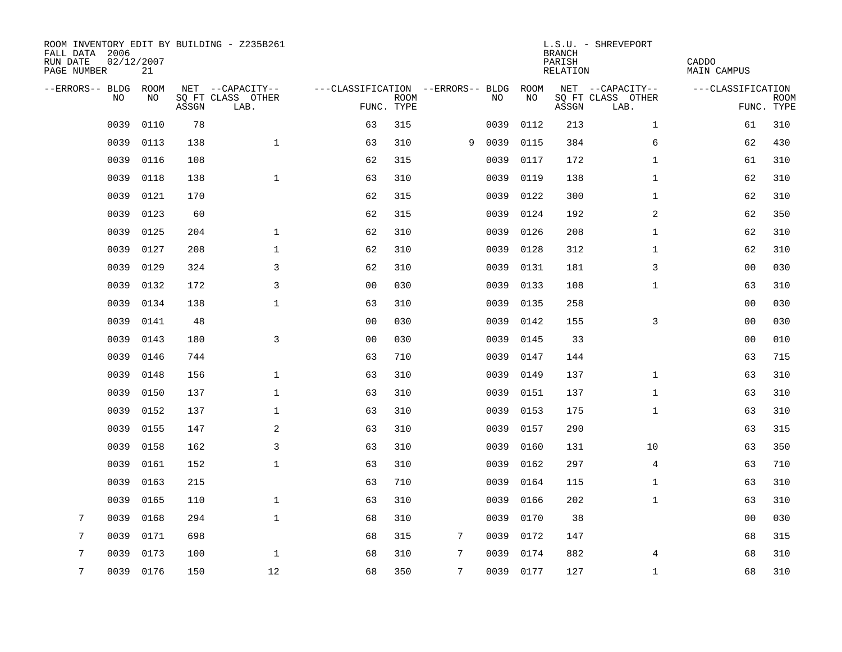| ROOM INVENTORY EDIT BY BUILDING - Z235B261<br>FALL DATA 2006<br>RUN DATE<br>PAGE NUMBER | 02/12/2007<br>21 |       |                           |                                   |             |   |           |      | <b>BRANCH</b><br>PARISH<br>RELATION | L.S.U. - SHREVEPORT       | CADDO<br>MAIN CAMPUS |             |
|-----------------------------------------------------------------------------------------|------------------|-------|---------------------------|-----------------------------------|-------------|---|-----------|------|-------------------------------------|---------------------------|----------------------|-------------|
| --ERRORS-- BLDG ROOM                                                                    |                  |       | NET --CAPACITY--          | ---CLASSIFICATION --ERRORS-- BLDG |             |   |           | ROOM |                                     | NET --CAPACITY--          | ---CLASSIFICATION    |             |
| NO.                                                                                     | NO.              | ASSGN | SQ FT CLASS OTHER<br>LAB. | FUNC. TYPE                        | <b>ROOM</b> |   | NO.       | NO   | ASSGN                               | SQ FT CLASS OTHER<br>LAB. | FUNC. TYPE           | <b>ROOM</b> |
| 0039                                                                                    | 0110             | 78    |                           | 63                                | 315         |   | 0039      | 0112 | 213                                 | $\mathbf{1}$              | 61                   | 310         |
| 0039                                                                                    | 0113             | 138   | $\mathbf{1}$              | 63                                | 310         | 9 | 0039      | 0115 | 384                                 | 6                         | 62                   | 430         |
| 0039                                                                                    | 0116             | 108   |                           | 62                                | 315         |   | 0039      | 0117 | 172                                 | $\mathbf{1}$              | 61                   | 310         |
| 0039                                                                                    | 0118             | 138   | $\mathbf 1$               | 63                                | 310         |   | 0039      | 0119 | 138                                 | $\mathbf{1}$              | 62                   | 310         |
| 0039                                                                                    | 0121             | 170   |                           | 62                                | 315         |   | 0039      | 0122 | 300                                 | $\mathbf{1}$              | 62                   | 310         |
| 0039                                                                                    | 0123             | 60    |                           | 62                                | 315         |   | 0039      | 0124 | 192                                 | 2                         | 62                   | 350         |
| 0039                                                                                    | 0125             | 204   | $\mathbf{1}$              | 62                                | 310         |   | 0039      | 0126 | 208                                 | $\mathbf{1}$              | 62                   | 310         |
| 0039                                                                                    | 0127             | 208   | $\mathbf 1$               | 62                                | 310         |   | 0039      | 0128 | 312                                 | $\mathbf{1}$              | 62                   | 310         |
| 0039                                                                                    | 0129             | 324   | 3                         | 62                                | 310         |   | 0039      | 0131 | 181                                 | 3                         | 0 <sub>0</sub>       | 030         |
| 0039                                                                                    | 0132             | 172   | 3                         | 0 <sub>0</sub>                    | 030         |   | 0039      | 0133 | 108                                 | $\mathbf{1}$              | 63                   | 310         |
| 0039                                                                                    | 0134             | 138   | $\mathbf{1}$              | 63                                | 310         |   | 0039      | 0135 | 258                                 |                           | 0 <sub>0</sub>       | 030         |
| 0039                                                                                    | 0141             | 48    |                           | 0 <sub>0</sub>                    | 030         |   | 0039      | 0142 | 155                                 | 3                         | 00                   | 030         |
| 0039                                                                                    | 0143             | 180   | 3                         | 0 <sub>0</sub>                    | 030         |   | 0039      | 0145 | 33                                  |                           | 0 <sub>0</sub>       | 010         |
| 0039                                                                                    | 0146             | 744   |                           | 63                                | 710         |   | 0039      | 0147 | 144                                 |                           | 63                   | 715         |
| 0039                                                                                    | 0148             | 156   | $\mathbf 1$               | 63                                | 310         |   | 0039      | 0149 | 137                                 | $\mathbf{1}$              | 63                   | 310         |
| 0039                                                                                    | 0150             | 137   | $\mathbf{1}$              | 63                                | 310         |   | 0039      | 0151 | 137                                 | $\mathbf{1}$              | 63                   | 310         |
| 0039                                                                                    | 0152             | 137   | $\mathbf 1$               | 63                                | 310         |   | 0039      | 0153 | 175                                 | $\mathbf{1}$              | 63                   | 310         |
| 0039                                                                                    | 0155             | 147   | 2                         | 63                                | 310         |   | 0039      | 0157 | 290                                 |                           | 63                   | 315         |
| 0039                                                                                    | 0158             | 162   | 3                         | 63                                | 310         |   | 0039      | 0160 | 131                                 | 10                        | 63                   | 350         |
| 0039                                                                                    | 0161             | 152   | $\mathbf{1}$              | 63                                | 310         |   | 0039      | 0162 | 297                                 | $\overline{4}$            | 63                   | 710         |
| 0039                                                                                    | 0163             | 215   |                           | 63                                | 710         |   | 0039      | 0164 | 115                                 | $\mathbf{1}$              | 63                   | 310         |
| 0039                                                                                    | 0165             | 110   | $\mathbf 1$               | 63                                | 310         |   | 0039      | 0166 | 202                                 | $\mathbf{1}$              | 63                   | 310         |
| 7<br>0039                                                                               | 0168             | 294   | $\mathbf{1}$              | 68                                | 310         |   | 0039      | 0170 | 38                                  |                           | 00                   | 030         |
| 7<br>0039                                                                               | 0171             | 698   |                           | 68                                | 315         | 7 | 0039      | 0172 | 147                                 |                           | 68                   | 315         |
| 7<br>0039                                                                               | 0173             | 100   | $\mathbf 1$               | 68                                | 310         | 7 | 0039      | 0174 | 882                                 | 4                         | 68                   | 310         |
| 7                                                                                       | 0039 0176        | 150   | 12                        | 68                                | 350         | 7 | 0039 0177 |      | 127                                 | $\mathbf{1}$              | 68                   | 310         |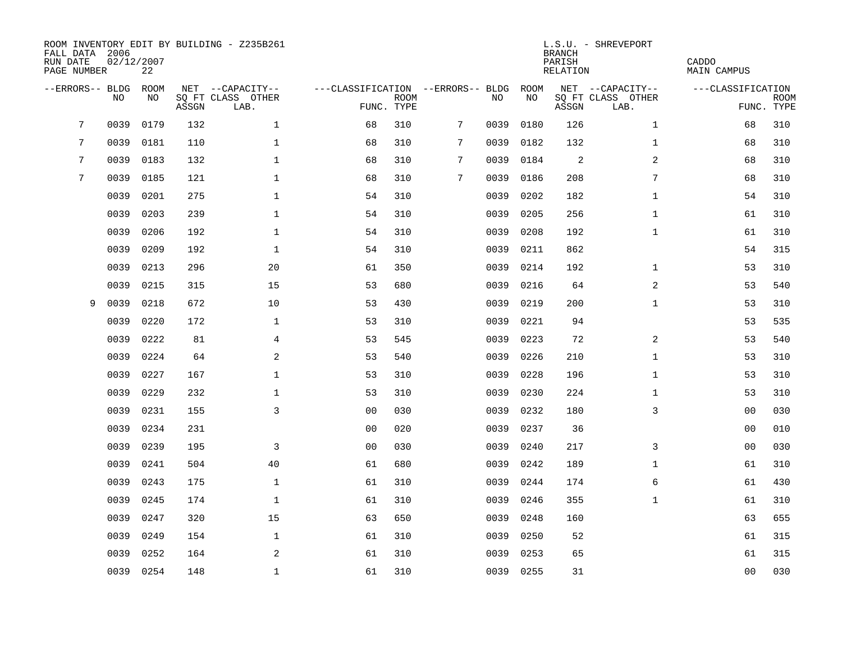| FALL DATA 2006<br>RUN DATE<br>PAGE NUMBER |      | 02/12/2007<br>22 |       | ROOM INVENTORY EDIT BY BUILDING - Z235B261    |                                                 |             |   |      |            | <b>BRANCH</b><br>PARISH<br><b>RELATION</b> | L.S.U. - SHREVEPORT                           | CADDO<br><b>MAIN CAMPUS</b>     |             |
|-------------------------------------------|------|------------------|-------|-----------------------------------------------|-------------------------------------------------|-------------|---|------|------------|--------------------------------------------|-----------------------------------------------|---------------------------------|-------------|
| --ERRORS-- BLDG                           | NO   | ROOM<br>NO       | ASSGN | NET --CAPACITY--<br>SQ FT CLASS OTHER<br>LAB. | ---CLASSIFICATION --ERRORS-- BLDG<br>FUNC. TYPE | <b>ROOM</b> |   | NO   | ROOM<br>NO | ASSGN                                      | NET --CAPACITY--<br>SQ FT CLASS OTHER<br>LAB. | ---CLASSIFICATION<br>FUNC. TYPE | <b>ROOM</b> |
| 7                                         | 0039 | 0179             | 132   | $\mathbf 1$                                   | 68                                              | 310         | 7 | 0039 | 0180       | 126                                        | $\mathbf{1}$                                  | 68                              | 310         |
| 7                                         | 0039 | 0181             | 110   | $\mathbf 1$                                   | 68                                              | 310         | 7 | 0039 | 0182       | 132                                        | $\mathbf{1}$                                  | 68                              | 310         |
| 7                                         | 0039 | 0183             | 132   | $\mathbf 1$                                   | 68                                              | 310         | 7 | 0039 | 0184       | 2                                          | 2                                             | 68                              | 310         |
| $\overline{7}$                            | 0039 | 0185             | 121   | $\mathbf 1$                                   | 68                                              | 310         | 7 | 0039 | 0186       | 208                                        | 7                                             | 68                              | 310         |
|                                           | 0039 | 0201             | 275   | $\mathbf{1}$                                  | 54                                              | 310         |   | 0039 | 0202       | 182                                        | $\mathbf{1}$                                  | 54                              | 310         |
|                                           | 0039 | 0203             | 239   | $\mathbf{1}$                                  | 54                                              | 310         |   | 0039 | 0205       | 256                                        | $\mathbf{1}$                                  | 61                              | 310         |
|                                           | 0039 | 0206             | 192   | $\mathbf{1}$                                  | 54                                              | 310         |   | 0039 | 0208       | 192                                        | $\mathbf{1}$                                  | 61                              | 310         |
|                                           | 0039 | 0209             | 192   | $\mathbf{1}$                                  | 54                                              | 310         |   | 0039 | 0211       | 862                                        |                                               | 54                              | 315         |
|                                           | 0039 | 0213             | 296   | 20                                            | 61                                              | 350         |   | 0039 | 0214       | 192                                        | $\mathbf{1}$                                  | 53                              | 310         |
|                                           | 0039 | 0215             | 315   | 15                                            | 53                                              | 680         |   | 0039 | 0216       | 64                                         | 2                                             | 53                              | 540         |
| 9                                         | 0039 | 0218             | 672   | 10                                            | 53                                              | 430         |   | 0039 | 0219       | 200                                        | $\mathbf{1}$                                  | 53                              | 310         |
|                                           | 0039 | 0220             | 172   | $\mathbf{1}$                                  | 53                                              | 310         |   | 0039 | 0221       | 94                                         |                                               | 53                              | 535         |
|                                           | 0039 | 0222             | 81    | 4                                             | 53                                              | 545         |   | 0039 | 0223       | 72                                         | 2                                             | 53                              | 540         |
|                                           | 0039 | 0224             | 64    | $\mathbf{2}$                                  | 53                                              | 540         |   | 0039 | 0226       | 210                                        | $\mathbf{1}$                                  | 53                              | 310         |
|                                           | 0039 | 0227             | 167   | $\mathbf 1$                                   | 53                                              | 310         |   | 0039 | 0228       | 196                                        | $\mathbf{1}$                                  | 53                              | 310         |
|                                           | 0039 | 0229             | 232   | $\mathbf 1$                                   | 53                                              | 310         |   | 0039 | 0230       | 224                                        | $\mathbf{1}$                                  | 53                              | 310         |
|                                           | 0039 | 0231             | 155   | 3                                             | 0 <sub>0</sub>                                  | 030         |   | 0039 | 0232       | 180                                        | 3                                             | 00                              | 030         |
|                                           | 0039 | 0234             | 231   |                                               | 0 <sub>0</sub>                                  | 020         |   | 0039 | 0237       | 36                                         |                                               | 0 <sub>0</sub>                  | 010         |
|                                           | 0039 | 0239             | 195   | 3                                             | 0 <sub>0</sub>                                  | 030         |   | 0039 | 0240       | 217                                        | 3                                             | 0 <sub>0</sub>                  | 030         |
|                                           | 0039 | 0241             | 504   | 40                                            | 61                                              | 680         |   | 0039 | 0242       | 189                                        | $\mathbf{1}$                                  | 61                              | 310         |
|                                           | 0039 | 0243             | 175   | $\mathbf 1$                                   | 61                                              | 310         |   | 0039 | 0244       | 174                                        | 6                                             | 61                              | 430         |
|                                           | 0039 | 0245             | 174   | $\mathbf 1$                                   | 61                                              | 310         |   | 0039 | 0246       | 355                                        | $\mathbf{1}$                                  | 61                              | 310         |
|                                           | 0039 | 0247             | 320   | 15                                            | 63                                              | 650         |   | 0039 | 0248       | 160                                        |                                               | 63                              | 655         |
|                                           | 0039 | 0249             | 154   | $\mathbf 1$                                   | 61                                              | 310         |   | 0039 | 0250       | 52                                         |                                               | 61                              | 315         |
|                                           | 0039 | 0252             | 164   | 2                                             | 61                                              | 310         |   | 0039 | 0253       | 65                                         |                                               | 61                              | 315         |
|                                           |      | 0039 0254        | 148   | $\mathbf{1}$                                  | 61                                              | 310         |   |      | 0039 0255  | 31                                         |                                               | 0 <sub>0</sub>                  | 030         |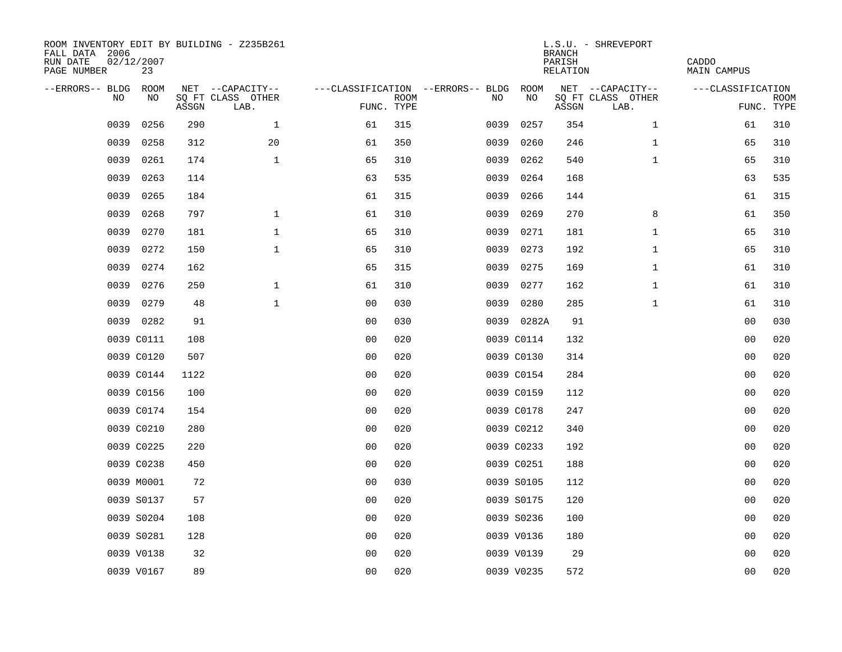| ROOM INVENTORY EDIT BY BUILDING - Z235B261<br>FALL DATA 2006<br>RUN DATE<br>PAGE NUMBER | 02/12/2007<br>23 |       |                           |                |             |                                        |            |      | <b>BRANCH</b><br>PARISH<br>RELATION | L.S.U. - SHREVEPORT       | CADDO<br>MAIN CAMPUS |                           |
|-----------------------------------------------------------------------------------------|------------------|-------|---------------------------|----------------|-------------|----------------------------------------|------------|------|-------------------------------------|---------------------------|----------------------|---------------------------|
| --ERRORS-- BLDG ROOM                                                                    |                  |       | NET --CAPACITY--          |                |             | ---CLASSIFICATION --ERRORS-- BLDG ROOM |            |      |                                     | NET --CAPACITY--          | ---CLASSIFICATION    |                           |
| NO.                                                                                     | NO.              | ASSGN | SQ FT CLASS OTHER<br>LAB. | FUNC. TYPE     | <b>ROOM</b> | NO.                                    |            | NO   | ASSGN                               | SQ FT CLASS OTHER<br>LAB. |                      | <b>ROOM</b><br>FUNC. TYPE |
| 0039                                                                                    | 0256             | 290   | $\mathbf{1}$              | 61             | 315         | 0039                                   |            | 0257 | 354                                 | $\mathbf{1}$              | 61                   | 310                       |
| 0039                                                                                    | 0258             | 312   | 20                        | 61             | 350         | 0039                                   |            | 0260 | 246                                 | $\mathbf{1}$              | 65                   | 310                       |
| 0039                                                                                    | 0261             | 174   | $\mathbf 1$               | 65             | 310         | 0039                                   |            | 0262 | 540                                 | $\mathbf{1}$              | 65                   | 310                       |
| 0039                                                                                    | 0263             | 114   |                           | 63             | 535         | 0039                                   |            | 0264 | 168                                 |                           | 63                   | 535                       |
| 0039                                                                                    | 0265             | 184   |                           | 61             | 315         | 0039                                   |            | 0266 | 144                                 |                           | 61                   | 315                       |
| 0039                                                                                    | 0268             | 797   | $\mathbf 1$               | 61             | 310         | 0039                                   |            | 0269 | 270                                 | 8                         | 61                   | 350                       |
| 0039                                                                                    | 0270             | 181   | $\mathbf{1}$              | 65             | 310         | 0039                                   |            | 0271 | 181                                 | $\mathbf{1}$              | 65                   | 310                       |
| 0039                                                                                    | 0272             | 150   | $\mathbf 1$               | 65             | 310         | 0039                                   |            | 0273 | 192                                 | $\mathbf{1}$              | 65                   | 310                       |
| 0039                                                                                    | 0274             | 162   |                           | 65             | 315         | 0039                                   |            | 0275 | 169                                 | $\mathbf{1}$              | 61                   | 310                       |
| 0039                                                                                    | 0276             | 250   | $\mathbf{1}$              | 61             | 310         |                                        | 0039 0277  |      | 162                                 | $\mathbf{1}$              | 61                   | 310                       |
| 0039                                                                                    | 0279             | 48    | $\mathbf{1}$              | 0 <sub>0</sub> | 030         | 0039                                   |            | 0280 | 285                                 | $\mathbf{1}$              | 61                   | 310                       |
|                                                                                         | 0039 0282        | 91    |                           | 0 <sub>0</sub> | 030         |                                        | 0039 0282A |      | 91                                  |                           | 0 <sub>0</sub>       | 030                       |
|                                                                                         | 0039 C0111       | 108   |                           | 0 <sub>0</sub> | 020         |                                        | 0039 C0114 |      | 132                                 |                           | 00                   | 020                       |
|                                                                                         | 0039 C0120       | 507   |                           | 0 <sub>0</sub> | 020         |                                        | 0039 C0130 |      | 314                                 |                           | 00                   | 020                       |
|                                                                                         | 0039 C0144       | 1122  |                           | 0 <sub>0</sub> | 020         |                                        | 0039 C0154 |      | 284                                 |                           | 0 <sub>0</sub>       | 020                       |
|                                                                                         | 0039 C0156       | 100   |                           | 0 <sub>0</sub> | 020         |                                        | 0039 C0159 |      | 112                                 |                           | 0 <sub>0</sub>       | 020                       |
|                                                                                         | 0039 C0174       | 154   |                           | 0 <sub>0</sub> | 020         |                                        | 0039 C0178 |      | 247                                 |                           | 0 <sub>0</sub>       | 020                       |
|                                                                                         | 0039 C0210       | 280   |                           | 0 <sub>0</sub> | 020         |                                        | 0039 C0212 |      | 340                                 |                           | 00                   | 020                       |
|                                                                                         | 0039 C0225       | 220   |                           | 0 <sub>0</sub> | 020         |                                        | 0039 C0233 |      | 192                                 |                           | 00                   | 020                       |
|                                                                                         | 0039 C0238       | 450   |                           | 0 <sub>0</sub> | 020         |                                        | 0039 C0251 |      | 188                                 |                           | 0 <sub>0</sub>       | 020                       |
|                                                                                         | 0039 M0001       | 72    |                           | 0 <sub>0</sub> | 030         |                                        | 0039 S0105 |      | 112                                 |                           | 0 <sub>0</sub>       | 020                       |
|                                                                                         | 0039 S0137       | 57    |                           | 0 <sub>0</sub> | 020         |                                        | 0039 S0175 |      | 120                                 |                           | 00                   | 020                       |
|                                                                                         | 0039 S0204       | 108   |                           | 0 <sub>0</sub> | 020         |                                        | 0039 S0236 |      | 100                                 |                           | 0 <sub>0</sub>       | 020                       |
|                                                                                         | 0039 S0281       | 128   |                           | 0 <sub>0</sub> | 020         |                                        | 0039 V0136 |      | 180                                 |                           | 00                   | 020                       |
|                                                                                         | 0039 V0138       | 32    |                           | 0 <sub>0</sub> | 020         |                                        | 0039 V0139 |      | 29                                  |                           | 00                   | 020                       |
|                                                                                         | 0039 V0167       | 89    |                           | 0 <sub>0</sub> | 020         |                                        | 0039 V0235 |      | 572                                 |                           | 0 <sub>0</sub>       | 020                       |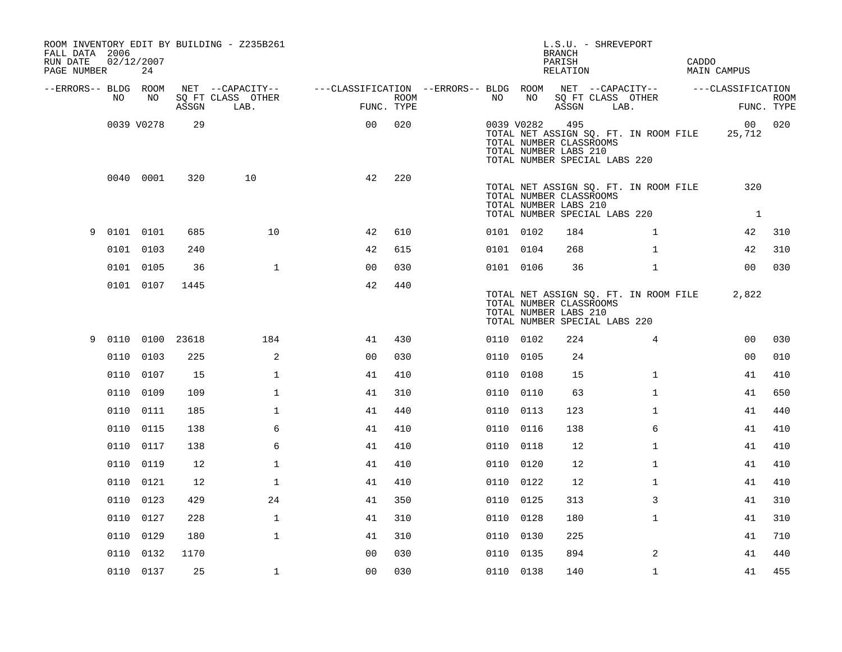| FALL DATA 2006<br>RUN DATE<br>PAGE NUMBER |             | 02/12/2007<br>24 |       | ROOM INVENTORY EDIT BY BUILDING - Z235B261 |                                                         |      |           |            | BRANCH<br>PARISH<br>RELATION                            | L.S.U. - SHREVEPORT                                                    | CADDO | <b>MAIN CAMPUS</b>    |             |
|-------------------------------------------|-------------|------------------|-------|--------------------------------------------|---------------------------------------------------------|------|-----------|------------|---------------------------------------------------------|------------------------------------------------------------------------|-------|-----------------------|-------------|
| --ERRORS-- BLDG ROOM                      |             |                  |       | NET --CAPACITY--                           | ---CLASSIFICATION --ERRORS-- BLDG ROOM NET --CAPACITY-- |      |           |            |                                                         |                                                                        |       | ---CLASSIFICATION     |             |
|                                           | NO          | NO               | ASSGN | SO FT CLASS OTHER<br>LAB.                  | FUNC. TYPE                                              | ROOM | NO        | NO         | ASSGN                                                   | SQ FT CLASS OTHER<br>LAB.                                              |       | FUNC. TYPE            | <b>ROOM</b> |
|                                           |             | 0039 V0278       | 29    |                                            | 0 <sub>0</sub>                                          | 020  |           | 0039 V0282 | 495<br>TOTAL NUMBER CLASSROOMS<br>TOTAL NUMBER LABS 210 | TOTAL NET ASSIGN SQ. FT. IN ROOM FILE<br>TOTAL NUMBER SPECIAL LABS 220 |       | 25,712                | 00 020      |
|                                           |             | 0040 0001        | 320   | 10                                         | 42                                                      | 220  |           |            | TOTAL NUMBER CLASSROOMS<br>TOTAL NUMBER LABS 210        | TOTAL NET ASSIGN SQ. FT. IN ROOM FILE<br>TOTAL NUMBER SPECIAL LABS 220 |       | 320<br>$\overline{1}$ |             |
|                                           | 9 0101 0101 |                  | 685   | 10                                         | 42                                                      | 610  | 0101 0102 |            | 184                                                     | $\mathbf{1}$                                                           |       | 42                    | 310         |
|                                           |             | 0101 0103        | 240   |                                            | 42                                                      | 615  | 0101 0104 |            | 268                                                     | $\mathbf{1}$                                                           |       | 42                    | 310         |
|                                           |             | 0101 0105        | 36    | $\mathbf{1}$                               | 0 <sub>0</sub>                                          | 030  | 0101 0106 |            | 36                                                      | $\mathbf{1}$                                                           |       | 0 <sub>0</sub>        | 030         |
|                                           |             | 0101 0107        | 1445  |                                            | 42                                                      | 440  |           |            | TOTAL NUMBER CLASSROOMS<br>TOTAL NUMBER LABS 210        | TOTAL NET ASSIGN SQ. FT. IN ROOM FILE<br>TOTAL NUMBER SPECIAL LABS 220 |       | 2,822                 |             |
| 9                                         |             | 0110 0100 23618  |       | 184                                        | 41                                                      | 430  | 0110 0102 |            | 224                                                     | $\overline{4}$                                                         |       | 0 <sub>0</sub>        | 030         |
|                                           | 0110        | 0103             | 225   | 2                                          | 0 <sub>0</sub>                                          | 030  | 0110 0105 |            | 24                                                      |                                                                        |       | 00                    | 010         |
|                                           |             | 0110 0107        | 15    | $\mathbf{1}$                               | 41                                                      | 410  | 0110 0108 |            | 15                                                      | $\mathbf{1}$                                                           |       | 41                    | 410         |
|                                           |             | 0110 0109        | 109   | $\mathbf{1}$                               | 41                                                      | 310  | 0110 0110 |            | 63                                                      | $\mathbf{1}$                                                           |       | 41                    | 650         |
|                                           |             | 0110 0111        | 185   | $\mathbf{1}$                               | 41                                                      | 440  | 0110 0113 |            | 123                                                     | $\mathbf{1}$                                                           |       | 41                    | 440         |
|                                           |             | 0110 0115        | 138   | 6                                          | 41                                                      | 410  | 0110 0116 |            | 138                                                     | 6                                                                      |       | 41                    | 410         |
|                                           |             | 0110 0117        | 138   | 6                                          | 41                                                      | 410  | 0110 0118 |            | 12                                                      | $\mathbf{1}$                                                           |       | 41                    | 410         |
|                                           |             | 0110 0119        | 12    | 1                                          | 41                                                      | 410  | 0110 0120 |            | 12                                                      | $\mathbf{1}$                                                           |       | 41                    | 410         |
|                                           |             | 0110 0121        | 12    | $\mathbf{1}$                               | 41                                                      | 410  | 0110 0122 |            | 12                                                      | $\mathbf{1}$                                                           |       | 41                    | 410         |
|                                           |             | 0110 0123        | 429   | 24                                         | 41                                                      | 350  | 0110 0125 |            | 313                                                     | 3                                                                      |       | 41                    | 310         |
|                                           |             | 0110 0127        | 228   | $\mathbf 1$                                | 41                                                      | 310  | 0110 0128 |            | 180                                                     | $\mathbf{1}$                                                           |       | 41                    | 310         |
|                                           |             | 0110 0129        | 180   | $\mathbf 1$                                | 41                                                      | 310  | 0110 0130 |            | 225                                                     |                                                                        |       | 41                    | 710         |
|                                           |             | 0110 0132        | 1170  |                                            | 0 <sub>0</sub>                                          | 030  | 0110 0135 |            | 894                                                     | 2                                                                      |       | 41                    | 440         |
|                                           |             | 0110 0137        | 25    | $\mathbf{1}$                               | 0 <sub>0</sub>                                          | 030  | 0110 0138 |            | 140                                                     | $\mathbf{1}$                                                           |       | 41                    | 455         |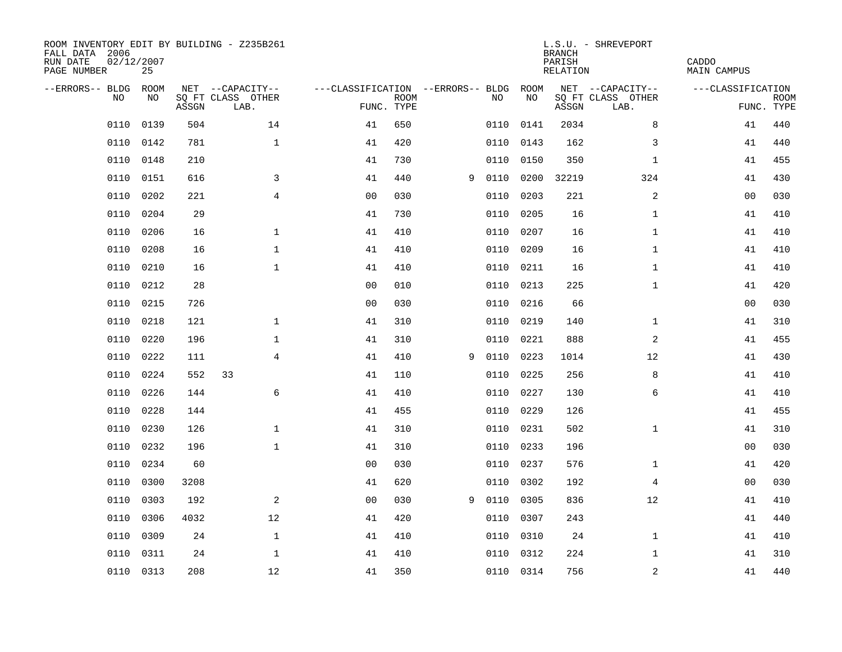| ROOM INVENTORY EDIT BY BUILDING - Z235B261<br>FALL DATA 2006<br>02/12/2007<br>RUN DATE<br>PAGE NUMBER |           |       | L.S.U. - SHREVEPORT<br><b>BRANCH</b><br>PARISH<br>RELATION |                                   |             |   |      |           |       | CADDO<br>MAIN CAMPUS      |                   |                           |
|-------------------------------------------------------------------------------------------------------|-----------|-------|------------------------------------------------------------|-----------------------------------|-------------|---|------|-----------|-------|---------------------------|-------------------|---------------------------|
| --ERRORS-- BLDG                                                                                       | ROOM      |       | NET --CAPACITY--                                           | ---CLASSIFICATION --ERRORS-- BLDG |             |   |      | ROOM      |       | NET --CAPACITY--          | ---CLASSIFICATION |                           |
| N <sub>O</sub>                                                                                        | NO.       | ASSGN | SO FT CLASS OTHER<br>LAB.                                  | FUNC. TYPE                        | <b>ROOM</b> |   | NO.  | NO        | ASSGN | SQ FT CLASS OTHER<br>LAB. |                   | <b>ROOM</b><br>FUNC. TYPE |
| 0110                                                                                                  | 0139      | 504   | 14                                                         | 41                                | 650         |   | 0110 | 0141      | 2034  | 8                         | 41                | 440                       |
| 0110                                                                                                  | 0142      | 781   | $\mathbf{1}$                                               | 41                                | 420         |   | 0110 | 0143      | 162   | 3                         | 41                | 440                       |
| 0110                                                                                                  | 0148      | 210   |                                                            | 41                                | 730         |   | 0110 | 0150      | 350   | $\mathbf{1}$              | 41                | 455                       |
| 0110                                                                                                  | 0151      | 616   | 3                                                          | 41                                | 440         | 9 | 0110 | 0200      | 32219 | 324                       | 41                | 430                       |
| 0110                                                                                                  | 0202      | 221   | $\overline{4}$                                             | 0 <sub>0</sub>                    | 030         |   | 0110 | 0203      | 221   | 2                         | 00                | 030                       |
| 0110                                                                                                  | 0204      | 29    |                                                            | 41                                | 730         |   | 0110 | 0205      | 16    | $\mathbf{1}$              | 41                | 410                       |
| 0110                                                                                                  | 0206      | 16    | $\mathbf{1}$                                               | 41                                | 410         |   | 0110 | 0207      | 16    | $\mathbf{1}$              | 41                | 410                       |
| 0110                                                                                                  | 0208      | 16    | $\mathbf 1$                                                | 41                                | 410         |   | 0110 | 0209      | 16    | $\mathbf{1}$              | 41                | 410                       |
| 0110                                                                                                  | 0210      | 16    | $\mathbf{1}$                                               | 41                                | 410         |   | 0110 | 0211      | 16    | $\mathbf{1}$              | 41                | 410                       |
| 0110                                                                                                  | 0212      | 28    |                                                            | 0 <sub>0</sub>                    | 010         |   | 0110 | 0213      | 225   | $\mathbf{1}$              | 41                | 420                       |
| 0110                                                                                                  | 0215      | 726   |                                                            | 0 <sub>0</sub>                    | 030         |   | 0110 | 0216      | 66    |                           | 00                | 030                       |
| 0110                                                                                                  | 0218      | 121   | $\mathbf{1}$                                               | 41                                | 310         |   | 0110 | 0219      | 140   | $\mathbf{1}$              | 41                | 310                       |
| 0110                                                                                                  | 0220      | 196   | $\mathbf{1}$                                               | 41                                | 310         |   | 0110 | 0221      | 888   | 2                         | 41                | 455                       |
| 0110                                                                                                  | 0222      | 111   | $\overline{4}$                                             | 41                                | 410         | 9 | 0110 | 0223      | 1014  | 12                        | 41                | 430                       |
| 0110                                                                                                  | 0224      | 552   | 33                                                         | 41                                | 110         |   | 0110 | 0225      | 256   | 8                         | 41                | 410                       |
| 0110                                                                                                  | 0226      | 144   | 6                                                          | 41                                | 410         |   | 0110 | 0227      | 130   | 6                         | 41                | 410                       |
| 0110                                                                                                  | 0228      | 144   |                                                            | 41                                | 455         |   | 0110 | 0229      | 126   |                           | 41                | 455                       |
| 0110                                                                                                  | 0230      | 126   | $\mathbf{1}$                                               | 41                                | 310         |   | 0110 | 0231      | 502   | $\mathbf{1}$              | 41                | 310                       |
| 0110                                                                                                  | 0232      | 196   | $\mathbf{1}$                                               | 41                                | 310         |   | 0110 | 0233      | 196   |                           | 00                | 030                       |
| 0110                                                                                                  | 0234      | 60    |                                                            | 0 <sub>0</sub>                    | 030         |   | 0110 | 0237      | 576   | $\mathbf{1}$              | 41                | 420                       |
| 0110                                                                                                  | 0300      | 3208  |                                                            | 41                                | 620         |   | 0110 | 0302      | 192   | 4                         | 00                | 030                       |
| 0110                                                                                                  | 0303      | 192   | 2                                                          | 0 <sub>0</sub>                    | 030         | 9 | 0110 | 0305      | 836   | 12                        | 41                | 410                       |
| 0110                                                                                                  | 0306      | 4032  | 12                                                         | 41                                | 420         |   | 0110 | 0307      | 243   |                           | 41                | 440                       |
| 0110                                                                                                  | 0309      | 24    | $\mathbf{1}$                                               | 41                                | 410         |   | 0110 | 0310      | 24    | $\mathbf{1}$              | 41                | 410                       |
| 0110                                                                                                  | 0311      | 24    | $\mathbf 1$                                                | 41                                | 410         |   | 0110 | 0312      | 224   | $\mathbf{1}$              | 41                | 310                       |
|                                                                                                       | 0110 0313 | 208   | 12                                                         | 41                                | 350         |   |      | 0110 0314 | 756   | $\mathbf 2$               | 41                | 440                       |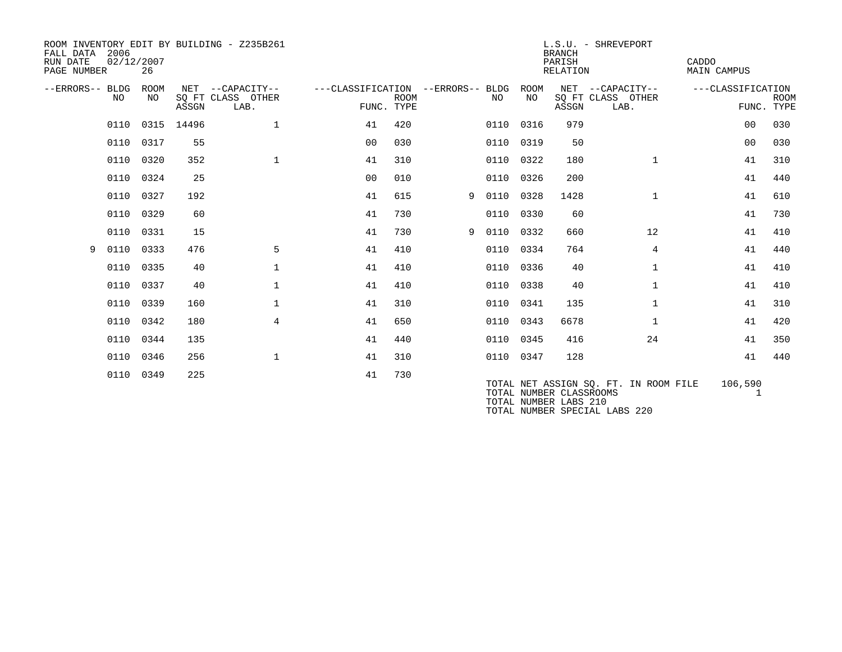| ROOM INVENTORY EDIT BY BUILDING - Z235B261<br>2006<br>FALL DATA<br>02/12/2007<br>RUN DATE<br>26<br>PAGE NUMBER |           |             |                 |                                               |                                                 | L.S.U. - SHREVEPORT<br><b>BRANCH</b><br>PARISH<br>RELATION |   |           |            |                                                  |                                               | CADDO<br><b>MAIN CAMPUS</b> |                           |
|----------------------------------------------------------------------------------------------------------------|-----------|-------------|-----------------|-----------------------------------------------|-------------------------------------------------|------------------------------------------------------------|---|-----------|------------|--------------------------------------------------|-----------------------------------------------|-----------------------------|---------------------------|
| --ERRORS-- BLDG                                                                                                | NO.       | ROOM<br>NO. | ASSGN           | NET --CAPACITY--<br>SQ FT CLASS OTHER<br>LAB. | ---CLASSIFICATION --ERRORS-- BLDG<br>FUNC. TYPE | <b>ROOM</b>                                                |   | NO        | ROOM<br>NO | ASSGN                                            | NET --CAPACITY--<br>SQ FT CLASS OTHER<br>LAB. | ---CLASSIFICATION           | <b>ROOM</b><br>FUNC. TYPE |
|                                                                                                                |           |             | 0110 0315 14496 | $\mathbf 1$                                   | 41                                              | 420                                                        |   | 0110 0316 |            | 979                                              |                                               | 0 <sub>0</sub>              | 030                       |
|                                                                                                                | 0110 0317 |             | 55              |                                               | 0 <sub>0</sub>                                  | 0.30                                                       |   | 0110 0319 |            | 50                                               |                                               | 0 <sub>0</sub>              | 030                       |
|                                                                                                                | 0110      | 0320        | 352             | $\mathbf 1$                                   | 41                                              | 310                                                        |   | 0110      | 0322       | 180                                              | $\mathbf{1}$                                  | 41                          | 310                       |
|                                                                                                                | 0110      | 0324        | 25              |                                               | 0 <sub>0</sub>                                  | 010                                                        |   | 0110      | 0326       | 200                                              |                                               | 41                          | 440                       |
|                                                                                                                | 0110 0327 |             | 192             |                                               | 41                                              | 615                                                        | 9 | 0110 0328 |            | 1428                                             | $\mathbf{1}$                                  | 41                          | 610                       |
|                                                                                                                | 0110      | 0329        | 60              |                                               | 41                                              | 730                                                        |   | 0110      | 0330       | 60                                               |                                               | 41                          | 730                       |
|                                                                                                                | 0110      | 0331        | 15              |                                               | 41                                              | 730                                                        | 9 | 0110      | 0332       | 660                                              | 12                                            | 41                          | 410                       |
| 9                                                                                                              | 0110 0333 |             | 476             | 5                                             | 41                                              | 410                                                        |   | 0110 0334 |            | 764                                              | $\overline{4}$                                | 41                          | 440                       |
|                                                                                                                | 0110      | 0335        | 40              | $\mathbf{1}$                                  | 41                                              | 410                                                        |   | 0110 0336 |            | 40                                               | $\mathbf{1}$                                  | 41                          | 410                       |
|                                                                                                                | 0110      | 0337        | 40              | $\mathbf{1}$                                  | 41                                              | 410                                                        |   | 0110      | 0338       | 40                                               | $\mathbf{1}$                                  | 41                          | 410                       |
|                                                                                                                | 0110      | 0339        | 160             | $\mathbf 1$                                   | 41                                              | 310                                                        |   | 0110      | 0341       | 135                                              | $\mathbf{1}$                                  | 41                          | 310                       |
|                                                                                                                | 0110      | 0342        | 180             | $\overline{4}$                                | 41                                              | 650                                                        |   | 0110      | 0343       | 6678                                             | $\mathbf{1}$                                  | 41                          | 420                       |
|                                                                                                                | 0110      | 0344        | 135             |                                               | 41                                              | 440                                                        |   | 0110 0345 |            | 416                                              | 24                                            | 41                          | 350                       |
|                                                                                                                | 0110      | 0346        | 256             | $\mathbf{1}$                                  | 41                                              | 310                                                        |   |           | 0110 0347  | 128                                              |                                               | 41                          | 440                       |
|                                                                                                                | 0110 0349 |             | 225             |                                               | 41                                              | 730                                                        |   |           |            | TOTAL NUMBER CLASSROOMS<br>TOTAL NUMBER LABS 210 | TOTAL NET ASSIGN SO. FT. IN ROOM FILE         | 106,590                     |                           |

TOTAL NUMBER SPECIAL LABS 220